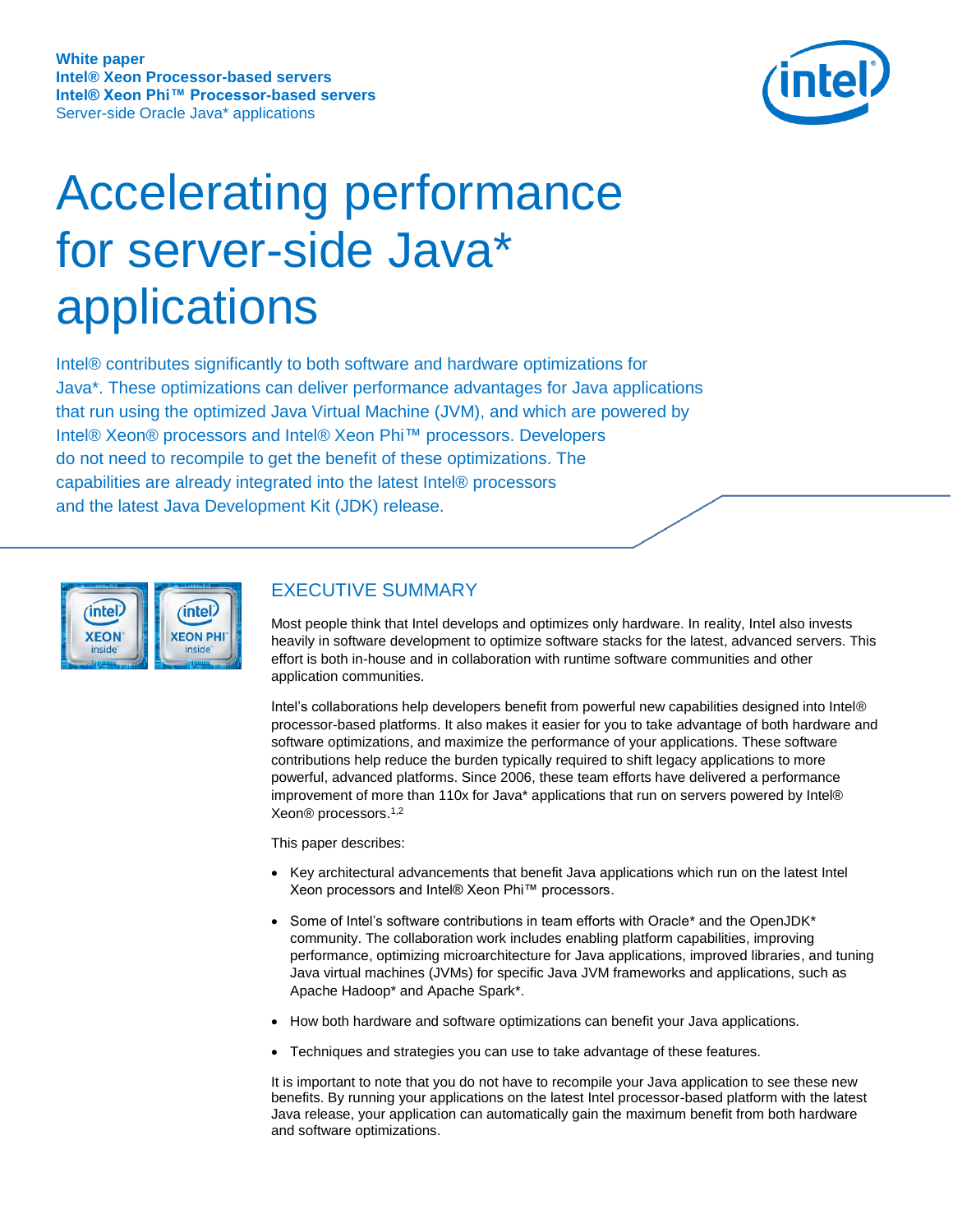

# Accelerating performance for server-side Java\* applications

Intel® contributes significantly to both software and hardware optimizations for Java\*. These optimizations can deliver performance advantages for Java applications that run using the optimized Java Virtual Machine (JVM), and which are powered by Intel® Xeon® processors and Intel® Xeon Phi™ processors. Developers do not need to recompile to get the benefit of these optimizations. The capabilities are already integrated into the latest Intel® processors and the latest Java Development Kit (JDK) release.



# EXECUTIVE SUMMARY

Most people think that Intel develops and optimizes only hardware. In reality, Intel also invests heavily in software development to optimize software stacks for the latest, advanced servers. This effort is both in-house and in collaboration with runtime software communities and other application communities.

Intel's collaborations help developers benefit from powerful new capabilities designed into Intel® processor-based platforms. It also makes it easier for you to take advantage of both hardware and software optimizations, and maximize the performance of your applications. These software contributions help reduce the burden typically required to shift legacy applications to more powerful, advanced platforms. Since 2006, these team efforts have delivered a performance improvement of more than 110x for Java\* applications that run on servers powered by Intel® Xeon® processors.1,2

This paper describes:

- Key architectural advancements that benefit Java applications which run on the latest Intel Xeon processors and Intel® Xeon Phi™ processors.
- Some of Intel's software contributions in team efforts with Oracle\* and the OpenJDK\* community. The collaboration work includes enabling platform capabilities, improving performance, optimizing microarchitecture for Java applications, improved libraries, and tuning Java virtual machines (JVMs) for specific Java JVM frameworks and applications, such as Apache Hadoop\* and Apache Spark\*.
- How both hardware and software optimizations can benefit your Java applications.
- Techniques and strategies you can use to take advantage of these features.

It is important to note that you do not have to recompile your Java application to see these new benefits. By running your applications on the latest Intel processor-based platform with the latest Java release, your application can automatically gain the maximum benefit from both hardware and software optimizations.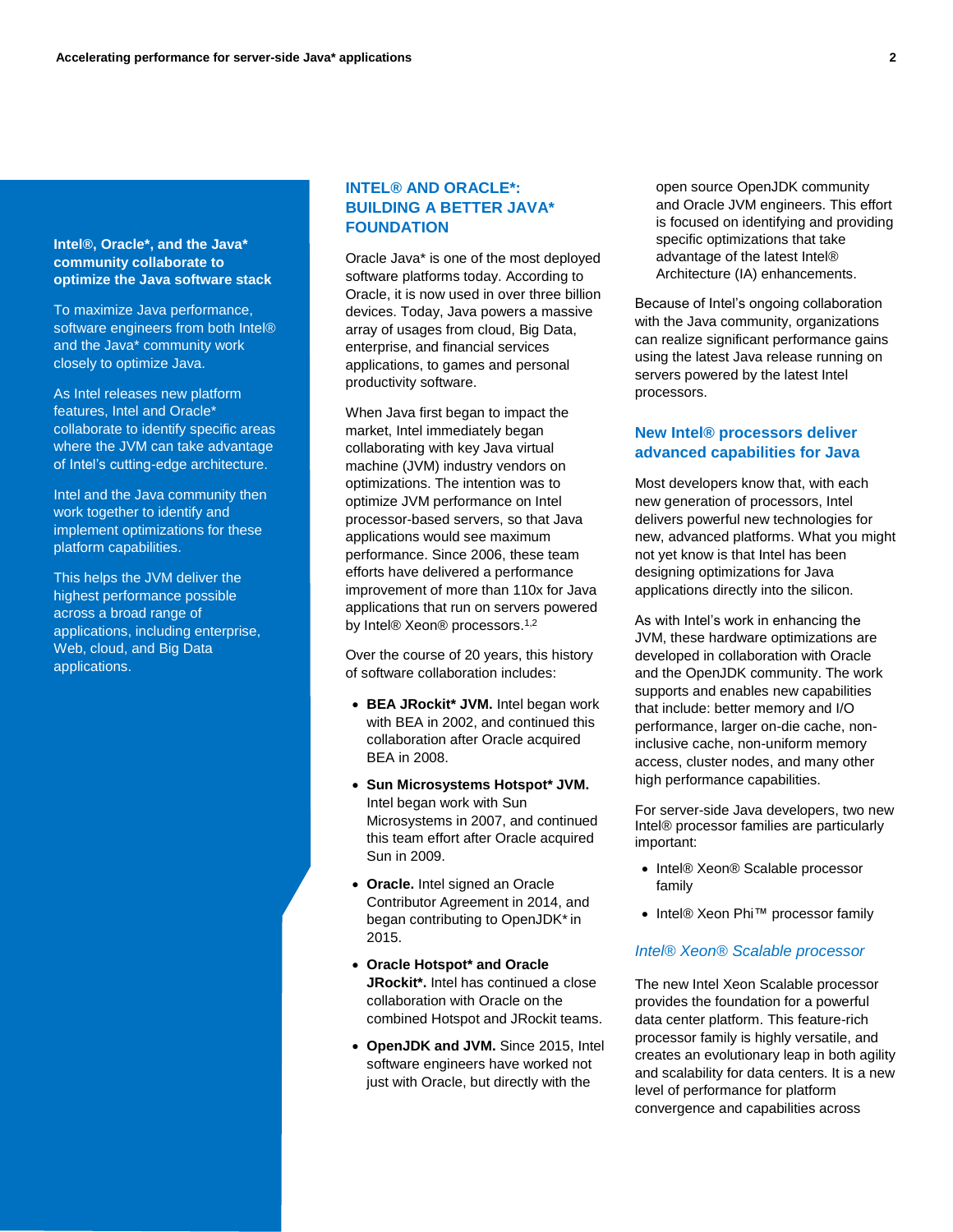#### **Intel®, Oracle\*, and the Java\* community collaborate to optimize the Java software stack**

To maximize Java performance, software engineers from both Intel® and the Java\* community work closely to optimize Java.

As Intel releases new platform features, Intel and Oracle\* collaborate to identify specific areas where the JVM can take advantage of Intel's cutting-edge architecture.

Intel and the Java community then work together to identify and implement optimizations for these platform capabilities.

This helps the JVM deliver the highest performance possible across a broad range of applications, including enterprise, Web, cloud, and Big Data applications.

## **INTEL® AND ORACLE\*: BUILDING A BETTER JAVA\* FOUNDATION**

Oracle Java\* is one of the most deployed software platforms today. According to Oracle, it is now used in over three billion devices. Today, Java powers a massive array of usages from cloud, Big Data, enterprise, and financial services applications, to games and personal productivity software.

When Java first began to impact the market, Intel immediately began collaborating with key Java virtual machine (JVM) industry vendors on optimizations. The intention was to optimize JVM performance on Intel processor-based servers, so that Java applications would see maximum performance. Since 2006, these team efforts have delivered a performance improvement of more than 110x for Java applications that run on servers powered by Intel® Xeon® processors.<sup>1,2</sup>

Over the course of 20 years, this history of software collaboration includes:

- **BEA JRockit\* JVM.** Intel began work with BEA in 2002, and continued this collaboration after Oracle acquired BEA in 2008.
- **Sun Microsystems Hotspot\* JVM.**  Intel began work with Sun Microsystems in 2007, and continued this team effort after Oracle acquired Sun in 2009.
- **Oracle.** Intel signed an Oracle Contributor Agreement in 2014, and began contributing to OpenJDK\* in 2015.
- **Oracle Hotspot\* and Oracle JRockit\*.** Intel has continued a close collaboration with Oracle on the combined Hotspot and JRockit teams.
- **OpenJDK and JVM.** Since 2015, Intel software engineers have worked not just with Oracle, but directly with the

open source OpenJDK community and Oracle JVM engineers. This effort is focused on identifying and providing specific optimizations that take advantage of the latest Intel® Architecture (IA) enhancements.

Because of Intel's ongoing collaboration with the Java community, organizations can realize significant performance gains using the latest Java release running on servers powered by the latest Intel processors.

### **New Intel® processors deliver advanced capabilities for Java**

Most developers know that, with each new generation of processors, Intel delivers powerful new technologies for new, advanced platforms. What you might not yet know is that Intel has been designing optimizations for Java applications directly into the silicon.

As with Intel's work in enhancing the JVM, these hardware optimizations are developed in collaboration with Oracle and the OpenJDK community. The work supports and enables new capabilities that include: better memory and I/O performance, larger on-die cache, noninclusive cache, non-uniform memory access, cluster nodes, and many other high performance capabilities.

For server-side Java developers, two new Intel® processor families are particularly important:

- Intel® Xeon® Scalable processor family
- Intel® Xeon Phi™ processor family

#### *Intel® Xeon® Scalable processor*

The new Intel Xeon Scalable processor provides the foundation for a powerful data center platform. This feature-rich processor family is highly versatile, and creates an evolutionary leap in both agility and scalability for data centers. It is a new level of performance for platform convergence and capabilities across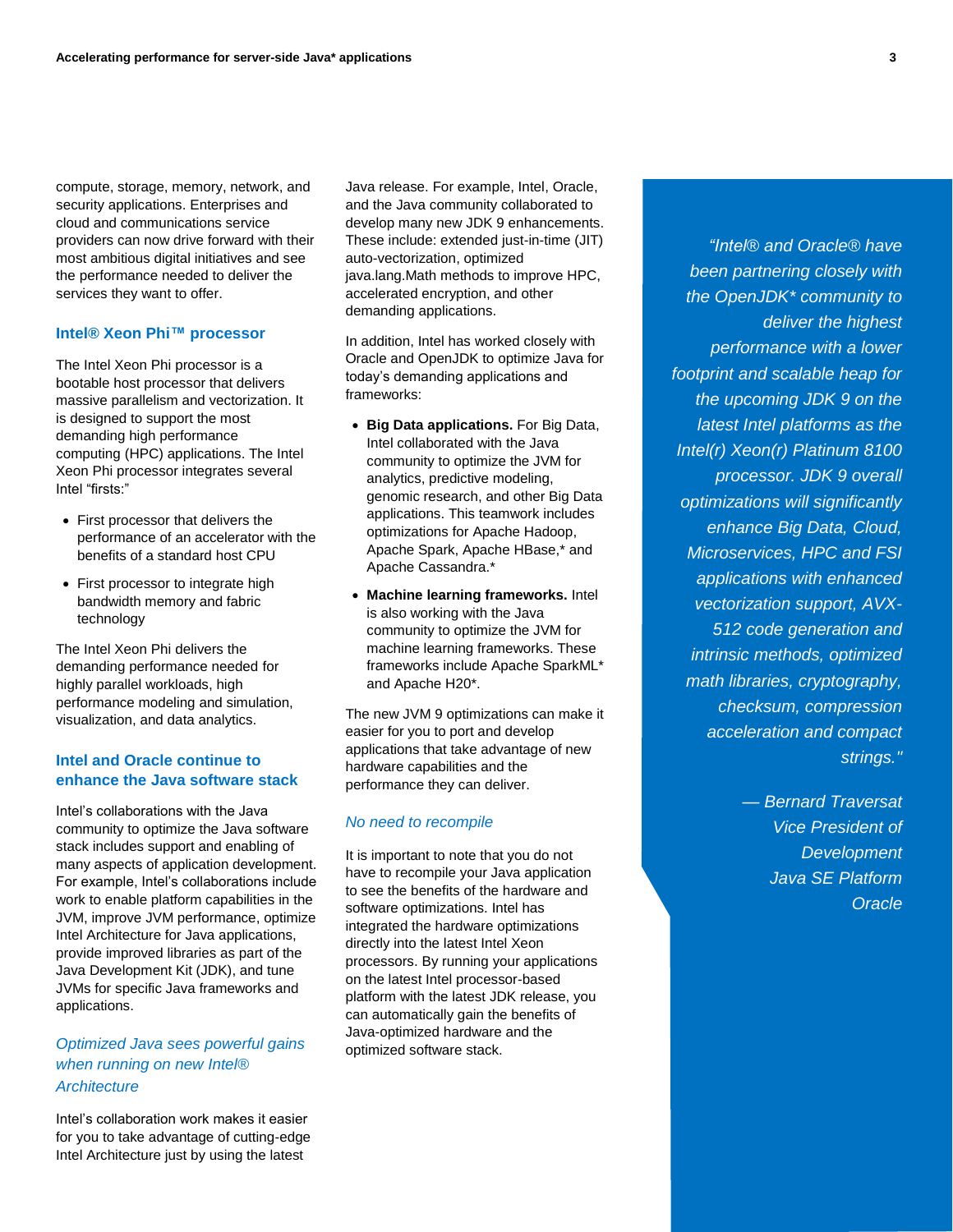compute, storage, memory, network, and security applications. Enterprises and cloud and communications service providers can now drive forward with their most ambitious digital initiatives and see the performance needed to deliver the services they want to offer.

## **Intel® Xeon Phi™ processor**

The Intel Xeon Phi processor is a bootable host processor that delivers massive parallelism and vectorization. It is designed to support the most demanding high performance computing (HPC) applications. The Intel Xeon Phi processor integrates several Intel "firsts:"

- First processor that delivers the performance of an accelerator with the benefits of a standard host CPU
- First processor to integrate high bandwidth memory and fabric technology

The Intel Xeon Phi delivers the demanding performance needed for highly parallel workloads, high performance modeling and simulation, visualization, and data analytics.

## **Intel and Oracle continue to enhance the Java software stack**

Intel's collaborations with the Java community to optimize the Java software stack includes support and enabling of many aspects of application development. For example, Intel's collaborations include work to enable platform capabilities in the JVM, improve JVM performance, optimize Intel Architecture for Java applications, provide improved libraries as part of the Java Development Kit (JDK), and tune JVMs for specific Java frameworks and applications.

# *Optimized Java sees powerful gains when running on new Intel® Architecture*

Intel's collaboration work makes it easier for you to take advantage of cutting-edge Intel Architecture just by using the latest

Java release. For example, Intel, Oracle, and the Java community collaborated to develop many new JDK 9 enhancements. These include: extended just-in-time (JIT) auto-vectorization, optimized java.lang.Math methods to improve HPC, accelerated encryption, and other demanding applications.

In addition, Intel has worked closely with Oracle and OpenJDK to optimize Java for today's demanding applications and frameworks:

- **Big Data applications.** For Big Data, Intel collaborated with the Java community to optimize the JVM for analytics, predictive modeling, genomic research, and other Big Data applications. This teamwork includes optimizations for Apache Hadoop, Apache Spark, Apache HBase,\* and Apache Cassandra.\*
- **Machine learning frameworks.** Intel is also working with the Java community to optimize the JVM for machine learning frameworks. These frameworks include Apache SparkML\* and Apache H20\*.

The new JVM 9 optimizations can make it easier for you to port and develop applications that take advantage of new hardware capabilities and the performance they can deliver.

## *No need to recompile*

It is important to note that you do not have to recompile your Java application to see the benefits of the hardware and software optimizations. Intel has integrated the hardware optimizations directly into the latest Intel Xeon processors. By running your applications on the latest Intel processor-based platform with the latest JDK release, you can automatically gain the benefits of Java-optimized hardware and the optimized software stack.

*"Intel® and Oracle® have been partnering closely with the OpenJDK\* community to deliver the highest performance with a lower footprint and scalable heap for the upcoming JDK 9 on the latest Intel platforms as the Intel(r) Xeon(r) Platinum 8100 processor. JDK 9 overall optimizations will significantly enhance Big Data, Cloud, Microservices, HPC and FSI applications with enhanced vectorization support, AVX-512 code generation and intrinsic methods, optimized math libraries, cryptography, checksum, compression acceleration and compact strings."*

> *— Bernard Traversat Vice President of Development Java SE Platform Oracle*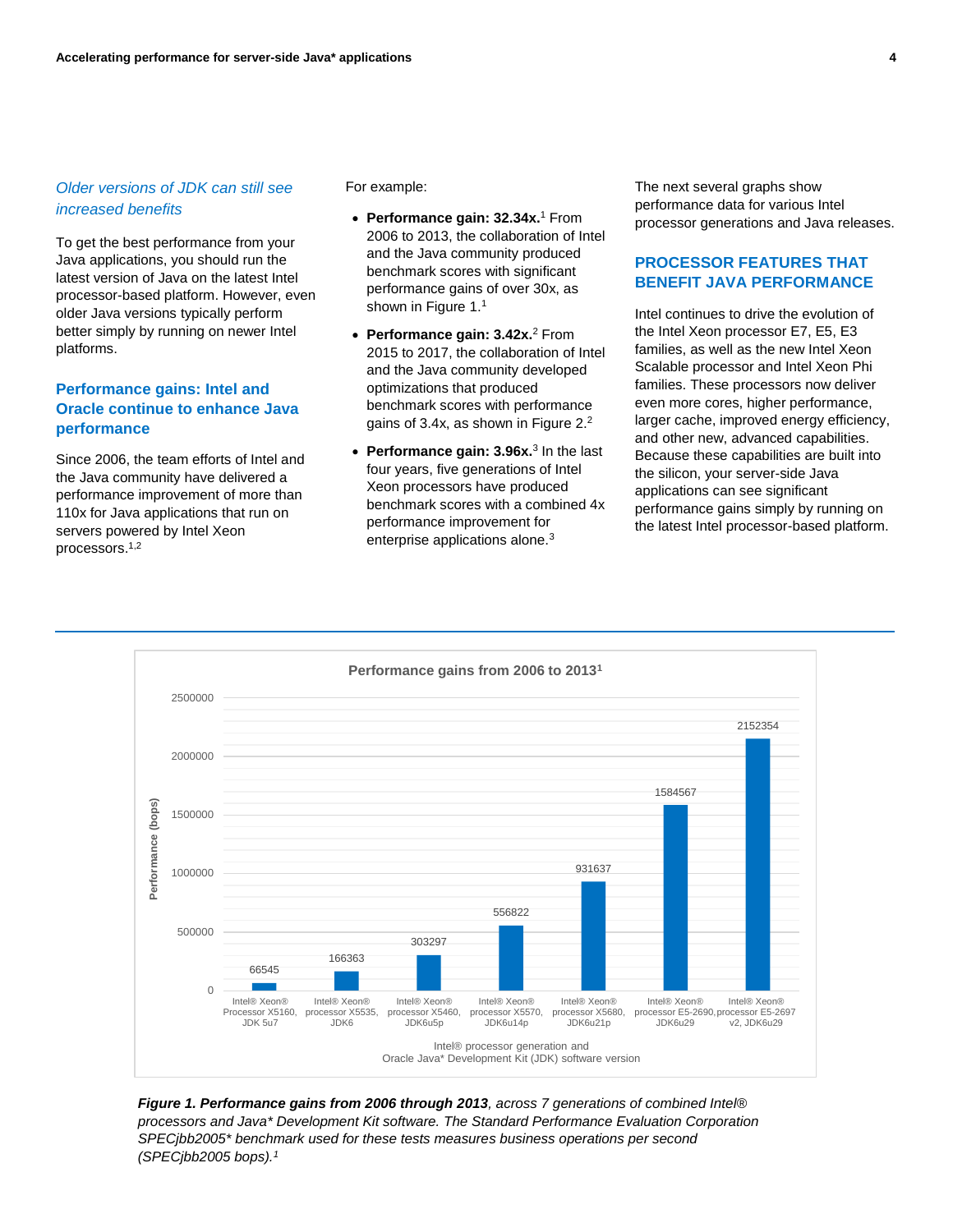## *Older versions of JDK can still see increased benefits*

To get the best performance from your Java applications, you should run the latest version of Java on the latest Intel processor-based platform. However, even older Java versions typically perform better simply by running on newer Intel platforms.

## **Performance gains: Intel and Oracle continue to enhance Java performance**

Since 2006, the team efforts of Intel and the Java community have delivered a performance improvement of more than 110x for Java applications that run on servers powered by Intel Xeon processors. 1,2

For example:

- **Performance gain: 32.34x.**<sup>1</sup> From 2006 to 2013, the collaboration of Intel and the Java community produced benchmark scores with significant performance gains of over 30x, as shown in Figure 1.<sup>1</sup>
- **Performance gain: 3.42x.**<sup>2</sup> From 2015 to 2017, the collaboration of Intel and the Java community developed optimizations that produced benchmark scores with performance gains of 3.4x, as shown in Figure 2.<sup>2</sup>
- **Performance gain: 3.96x.**<sup>3</sup> In the last four years, five generations of Intel Xeon processors have produced benchmark scores with a combined 4x performance improvement for enterprise applications alone.<sup>3</sup>

The next several graphs show performance data for various Intel processor generations and Java releases.

## **PROCESSOR FEATURES THAT BENEFIT JAVA PERFORMANCE**

Intel continues to drive the evolution of the Intel Xeon processor E7, E5, E3 families, as well as the new Intel Xeon Scalable processor and Intel Xeon Phi families. These processors now deliver even more cores, higher performance, larger cache, improved energy efficiency, and other new, advanced capabilities. Because these capabilities are built into the silicon, your server-side Java applications can see significant performance gains simply by running on the latest Intel processor-based platform.



*Figure 1. Performance gains from 2006 through 2013, across 7 generations of combined Intel® processors and Java\* Development Kit software. The Standard Performance Evaluation Corporation SPECjbb2005\* benchmark used for these tests measures business operations per second (SPECjbb2005 bops).1*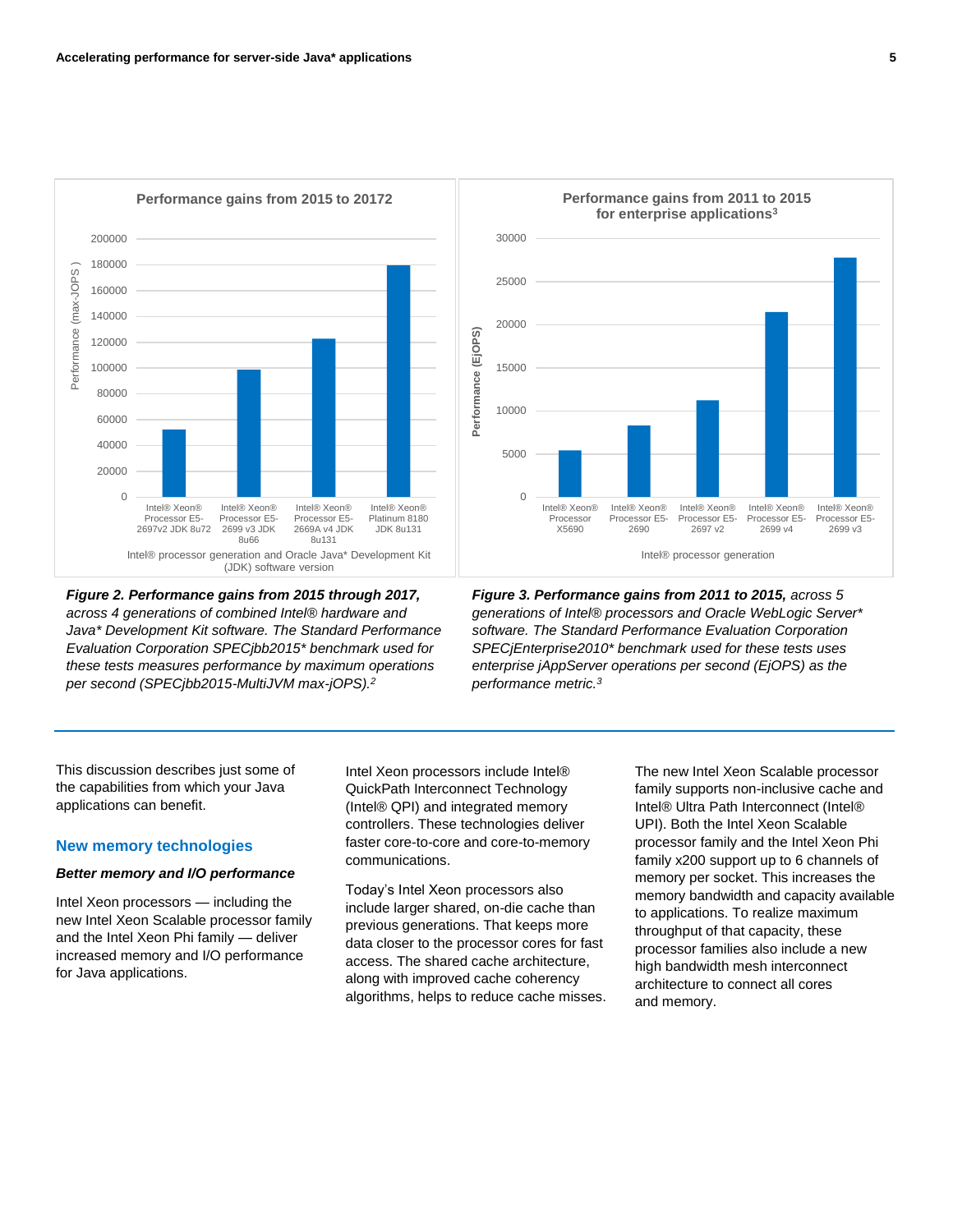

*Figure 2. Performance gains from 2015 through 2017, across 4 generations of combined Intel® hardware and Java\* Development Kit software. The Standard Performance Evaluation Corporation SPECjbb2015\* benchmark used for these tests measures performance by maximum operations per second (SPECjbb2015-MultiJVM max-jOPS).<sup>2</sup>*



*Figure 3. Performance gains from 2011 to 2015, across 5 generations of Intel® processors and Oracle WebLogic Server\* software. The Standard Performance Evaluation Corporation SPECjEnterprise2010\* benchmark used for these tests uses enterprise jAppServer operations per second (EjOPS) as the performance metric.<sup>3</sup>*

This discussion describes just some of the capabilities from which your Java applications can benefit.

## **New memory technologies**

#### *Better memory and I/O performance*

Intel Xeon processors — including the new Intel Xeon Scalable processor family and the Intel Xeon Phi family — deliver increased memory and I/O performance for Java applications.

Intel Xeon processors include Intel® QuickPath Interconnect Technology (Intel® QPI) and integrated memory controllers. These technologies deliver faster core-to-core and core-to-memory communications.

Today's Intel Xeon processors also include larger shared, on-die cache than previous generations. That keeps more data closer to the processor cores for fast access. The shared cache architecture, along with improved cache coherency algorithms, helps to reduce cache misses. The new Intel Xeon Scalable processor family supports non-inclusive cache and Intel® Ultra Path Interconnect (Intel® UPI). Both the Intel Xeon Scalable processor family and the Intel Xeon Phi family x200 support up to 6 channels of memory per socket. This increases the memory bandwidth and capacity available to applications. To realize maximum throughput of that capacity, these processor families also include a new high bandwidth mesh interconnect architecture to connect all cores and memory.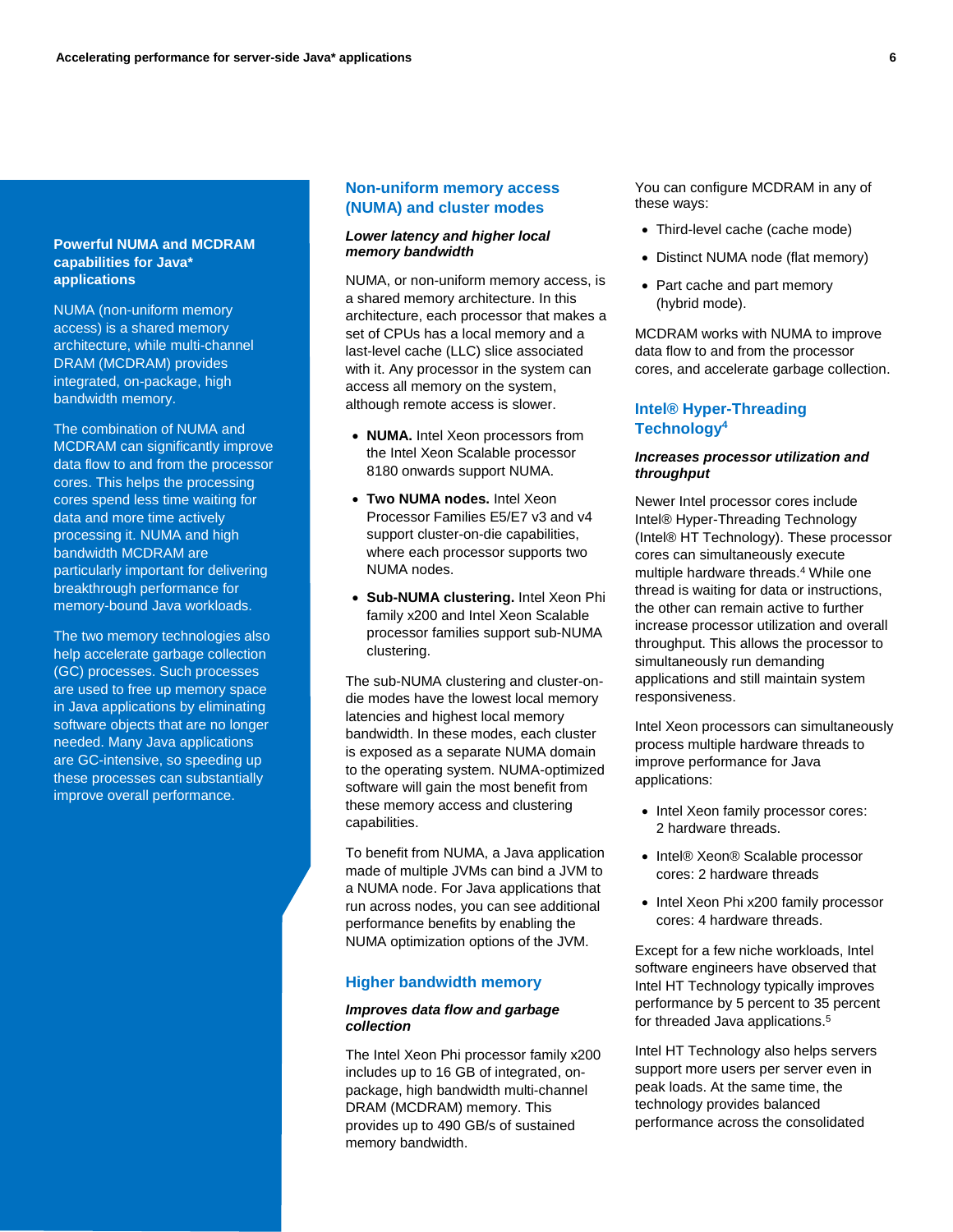#### **Powerful NUMA and MCDRAM capabilities for Java\* applications**

NUMA (non-uniform memory access) is a shared memory architecture, while multi-channel DRAM (MCDRAM) provides integrated, on-package, high bandwidth memory.

The combination of NUMA and MCDRAM can significantly improve data flow to and from the processor cores. This helps the processing cores spend less time waiting for data and more time actively processing it. NUMA and high bandwidth MCDRAM are particularly important for delivering breakthrough performance for memory-bound Java workloads.

The two memory technologies also help accelerate garbage collection (GC) processes. Such processes are used to free up memory space in Java applications by eliminating software objects that are no longer needed. Many Java applications are GC-intensive, so speeding up these processes can substantially improve overall performance.

## **Non-uniform memory access (NUMA) and cluster modes**

#### *Lower latency and higher local memory bandwidth*

NUMA, or non-uniform memory access, is a shared memory architecture. In this architecture, each processor that makes a set of CPUs has a local memory and a last-level cache (LLC) slice associated with it. Any processor in the system can access all memory on the system, although remote access is slower.

- **NUMA.** Intel Xeon processors from the Intel Xeon Scalable processor 8180 onwards support NUMA.
- **Two NUMA nodes.** Intel Xeon Processor Families E5/E7 v3 and v4 support cluster-on-die capabilities, where each processor supports two NUMA nodes.
- **Sub-NUMA clustering.** Intel Xeon Phi family x200 and Intel Xeon Scalable processor families support sub-NUMA clustering.

The sub-NUMA clustering and cluster-ondie modes have the lowest local memory latencies and highest local memory bandwidth. In these modes, each cluster is exposed as a separate NUMA domain to the operating system. NUMA-optimized software will gain the most benefit from these memory access and clustering capabilities.

To benefit from NUMA, a Java application made of multiple JVMs can bind a JVM to a NUMA node. For Java applications that run across nodes, you can see additional performance benefits by enabling the NUMA optimization options of the JVM.

### **Higher bandwidth memory**

#### *Improves data flow and garbage collection*

The Intel Xeon Phi processor family x200 includes up to 16 GB of integrated, onpackage, high bandwidth multi-channel DRAM (MCDRAM) memory. This provides up to 490 GB/s of sustained memory bandwidth.

You can configure MCDRAM in any of these ways:

- Third-level cache (cache mode)
- Distinct NUMA node (flat memory)
- Part cache and part memory (hybrid mode).

MCDRAM works with NUMA to improve data flow to and from the processor cores, and accelerate garbage collection.

## **Intel® Hyper-Threading Technology<sup>4</sup>**

#### *Increases processor utilization and throughput*

Newer Intel processor cores include Intel® Hyper-Threading Technology (Intel® HT Technology). These processor cores can simultaneously execute multiple hardware threads.<sup>4</sup> While one thread is waiting for data or instructions, the other can remain active to further increase processor utilization and overall throughput. This allows the processor to simultaneously run demanding applications and still maintain system responsiveness.

Intel Xeon processors can simultaneously process multiple hardware threads to improve performance for Java applications:

- Intel Xeon family processor cores: 2 hardware threads.
- Intel® Xeon® Scalable processor cores: 2 hardware threads
- Intel Xeon Phi x200 family processor cores: 4 hardware threads.

Except for a few niche workloads, Intel software engineers have observed that Intel HT Technology typically improves performance by 5 percent to 35 percent for threaded Java applications.<sup>5</sup>

Intel HT Technology also helps servers support more users per server even in peak loads. At the same time, the technology provides balanced performance across the consolidated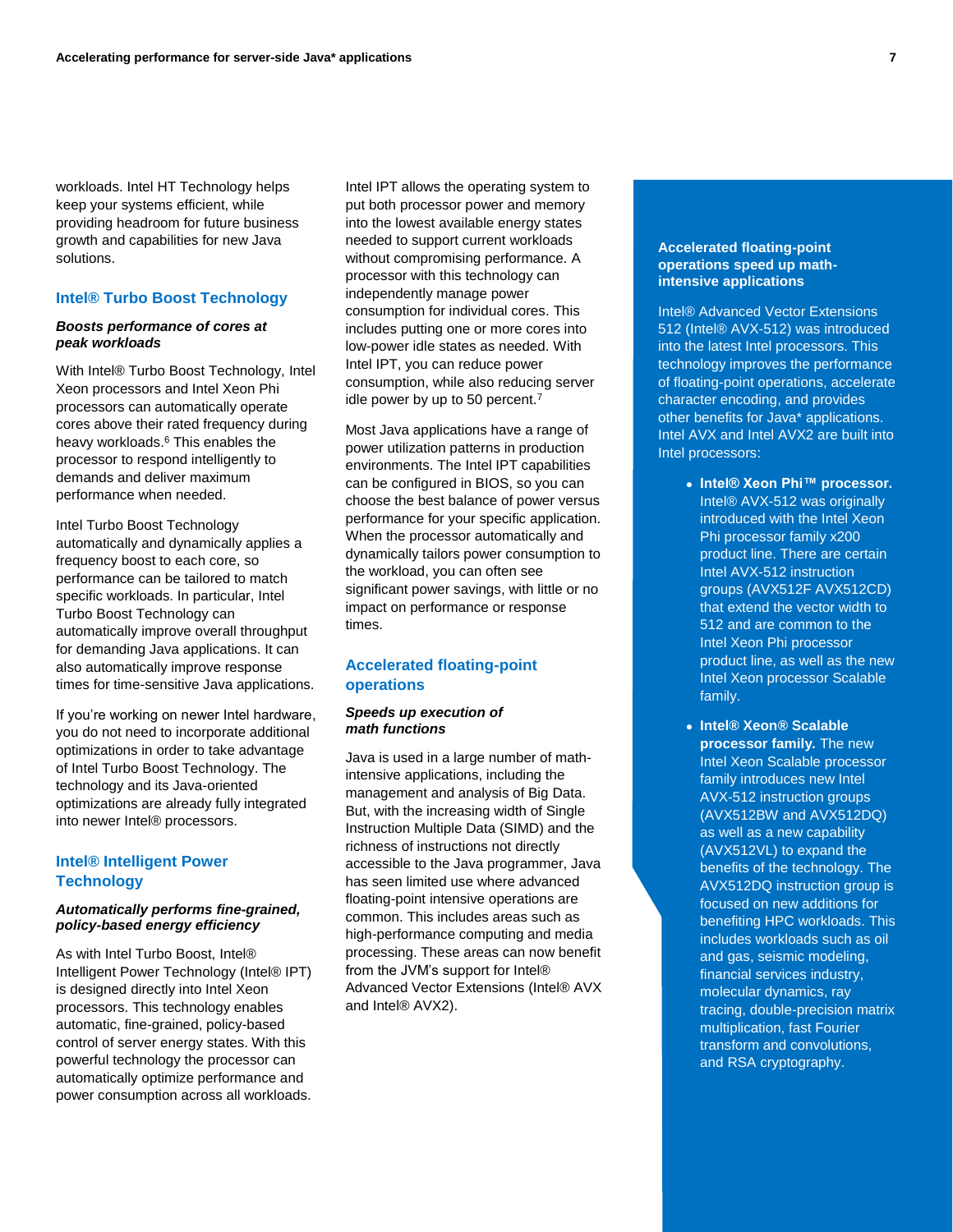workloads. Intel HT Technology helps keep your systems efficient, while providing headroom for future business growth and capabilities for new Java solutions.

### **Intel® Turbo Boost Technology**

#### *Boosts performance of cores at peak workloads*

With Intel® Turbo Boost Technology, Intel Xeon processors and Intel Xeon Phi processors can automatically operate cores above their rated frequency during heavy workloads.<sup>6</sup> This enables the processor to respond intelligently to demands and deliver maximum performance when needed.

Intel Turbo Boost Technology automatically and dynamically applies a frequency boost to each core, so performance can be tailored to match specific workloads. In particular, Intel Turbo Boost Technology can automatically improve overall throughput for demanding Java applications. It can also automatically improve response times for time-sensitive Java applications.

If you're working on newer Intel hardware, you do not need to incorporate additional optimizations in order to take advantage of Intel Turbo Boost Technology. The technology and its Java-oriented optimizations are already fully integrated into newer Intel® processors.

## **Intel® Intelligent Power Technology**

#### *Automatically performs fine-grained, policy-based energy efficiency*

As with Intel Turbo Boost, Intel® Intelligent Power Technology (Intel® IPT) is designed directly into Intel Xeon processors. This technology enables automatic, fine-grained, policy-based control of server energy states. With this powerful technology the processor can automatically optimize performance and power consumption across all workloads. Intel IPT allows the operating system to put both processor power and memory into the lowest available energy states needed to support current workloads without compromising performance. A processor with this technology can independently manage power consumption for individual cores. This includes putting one or more cores into low-power idle states as needed. With Intel IPT, you can reduce power consumption, while also reducing server idle power by up to 50 percent.<sup>7</sup>

Most Java applications have a range of power utilization patterns in production environments. The Intel IPT capabilities can be configured in BIOS, so you can choose the best balance of power versus performance for your specific application. When the processor automatically and dynamically tailors power consumption to the workload, you can often see significant power savings, with little or no impact on performance or response times.

## **Accelerated floating-point operations**

#### *Speeds up execution of math functions*

Java is used in a large number of mathintensive applications, including the management and analysis of Big Data. But, with the increasing width of Single Instruction Multiple Data (SIMD) and the richness of instructions not directly accessible to the Java programmer, Java has seen limited use where advanced floating-point intensive operations are common. This includes areas such as high-performance computing and media processing. These areas can now benefit from the JVM's support for Intel® Advanced Vector Extensions (Intel® AVX and Intel® AVX2).

### **Accelerated floating-point operations speed up mathintensive applications**

Intel® Advanced Vector Extensions 512 (Intel® AVX-512) was introduced into the latest Intel processors. This technology improves the performance of floating-point operations, accelerate character encoding, and provides other benefits for Java\* applications. Intel AVX and Intel AVX2 are built into Intel processors:

- **Intel® Xeon Phi™ processor.** Intel® AVX-512 was originally introduced with the Intel Xeon Phi processor family x200 product line. There are certain Intel AVX-512 instruction groups (AVX512F AVX512CD) that extend the vector width to 512 and are common to the Intel Xeon Phi processor product line, as well as the new Intel Xeon processor Scalable family.
- **Intel® Xeon® Scalable processor family.** The new Intel Xeon Scalable processor family introduces new Intel AVX-512 instruction groups (AVX512BW and AVX512DQ) as well as a new capability (AVX512VL) to expand the benefits of the technology. The AVX512DQ instruction group is focused on new additions for benefiting HPC workloads. This includes workloads such as oil and gas, seismic modeling, financial services industry, molecular dynamics, ray tracing, double-precision matrix multiplication, fast Fourier transform and convolutions, and RSA cryptography.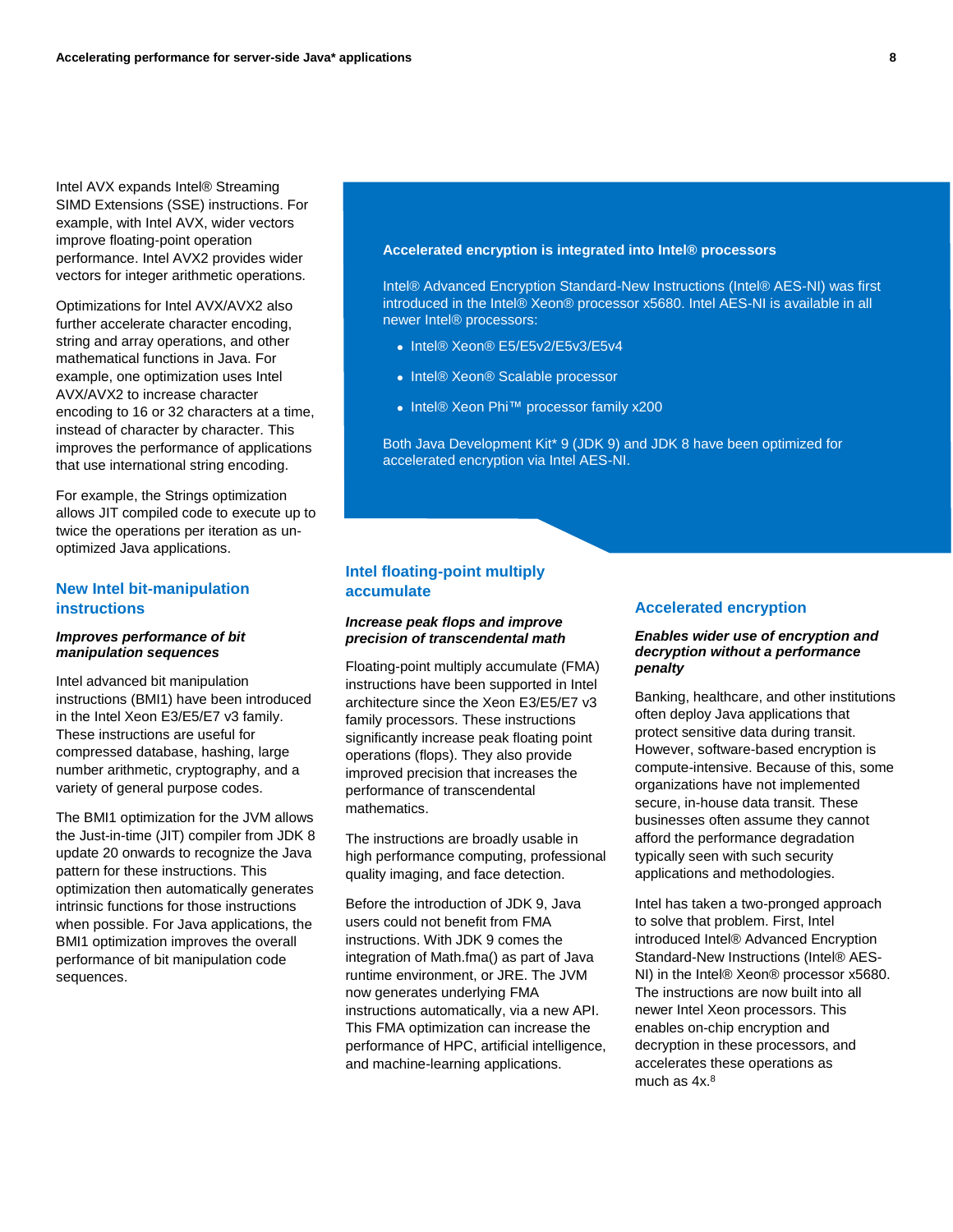Intel AVX expands Intel® Streaming SIMD Extensions (SSE) instructions. For example, with Intel AVX, wider vectors improve floating-point operation performance. Intel AVX2 provides wider vectors for integer arithmetic operations.

Optimizations for Intel AVX/AVX2 also further accelerate character encoding, string and array operations, and other mathematical functions in Java. For example, one optimization uses Intel AVX/AVX2 to increase character encoding to 16 or 32 characters at a time, instead of character by character. This improves the performance of applications that use international string encoding.

For example, the Strings optimization allows JIT compiled code to execute up to twice the operations per iteration as unoptimized Java applications.

## **New Intel bit-manipulation instructions**

#### *Improves performance of bit manipulation sequences*

Intel advanced bit manipulation instructions (BMI1) have been introduced in the Intel Xeon E3/E5/E7 v3 family. These instructions are useful for compressed database, hashing, large number arithmetic, cryptography, and a variety of general purpose codes.

The BMI1 optimization for the JVM allows the Just-in-time (JIT) compiler from JDK 8 update 20 onwards to recognize the Java pattern for these instructions. This optimization then automatically generates intrinsic functions for those instructions when possible. For Java applications, the BMI1 optimization improves the overall performance of bit manipulation code sequences.

#### **Accelerated encryption is integrated into Intel® processors**

Intel® Advanced Encryption Standard-New Instructions (Intel® AES-NI) was first introduced in the Intel® Xeon® processor x5680. Intel AES-NI is available in all newer Intel® processors:

- Intel® Xeon® E5/E5v2/E5v3/E5v4
- Intel® Xeon® Scalable processor
- Intel® Xeon Phi™ processor family x200

Both Java Development Kit<sup>\*</sup> 9 (JDK 9) and JDK 8 have been optimized for accelerated encryption via Intel AES-NI.

## **Intel floating-point multiply accumulate**

#### *Increase peak flops and improve precision of transcendental math*

Floating-point multiply accumulate (FMA) instructions have been supported in Intel architecture since the Xeon E3/E5/E7 v3 family processors. These instructions significantly increase peak floating point operations (flops). They also provide improved precision that increases the performance of transcendental mathematics.

The instructions are broadly usable in high performance computing, professional quality imaging, and face detection.

Before the introduction of JDK 9, Java users could not benefit from FMA instructions. With JDK 9 comes the integration of Math.fma() as part of Java runtime environment, or JRE. The JVM now generates underlying FMA instructions automatically, via a new API. This FMA optimization can increase the performance of HPC, artificial intelligence, and machine-learning applications.

### **Accelerated encryption**

#### *Enables wider use of encryption and decryption without a performance penalty*

Banking, healthcare, and other institutions often deploy Java applications that protect sensitive data during transit. However, software-based encryption is compute-intensive. Because of this, some organizations have not implemented secure, in-house data transit. These businesses often assume they cannot afford the performance degradation typically seen with such security applications and methodologies.

Intel has taken a two-pronged approach to solve that problem. First, Intel introduced Intel® Advanced Encryption Standard-New Instructions (Intel® AES-NI) in the Intel® Xeon® processor x5680. The instructions are now built into all newer Intel Xeon processors. This enables on-chip encryption and decryption in these processors, and accelerates these operations as much as 4x. 8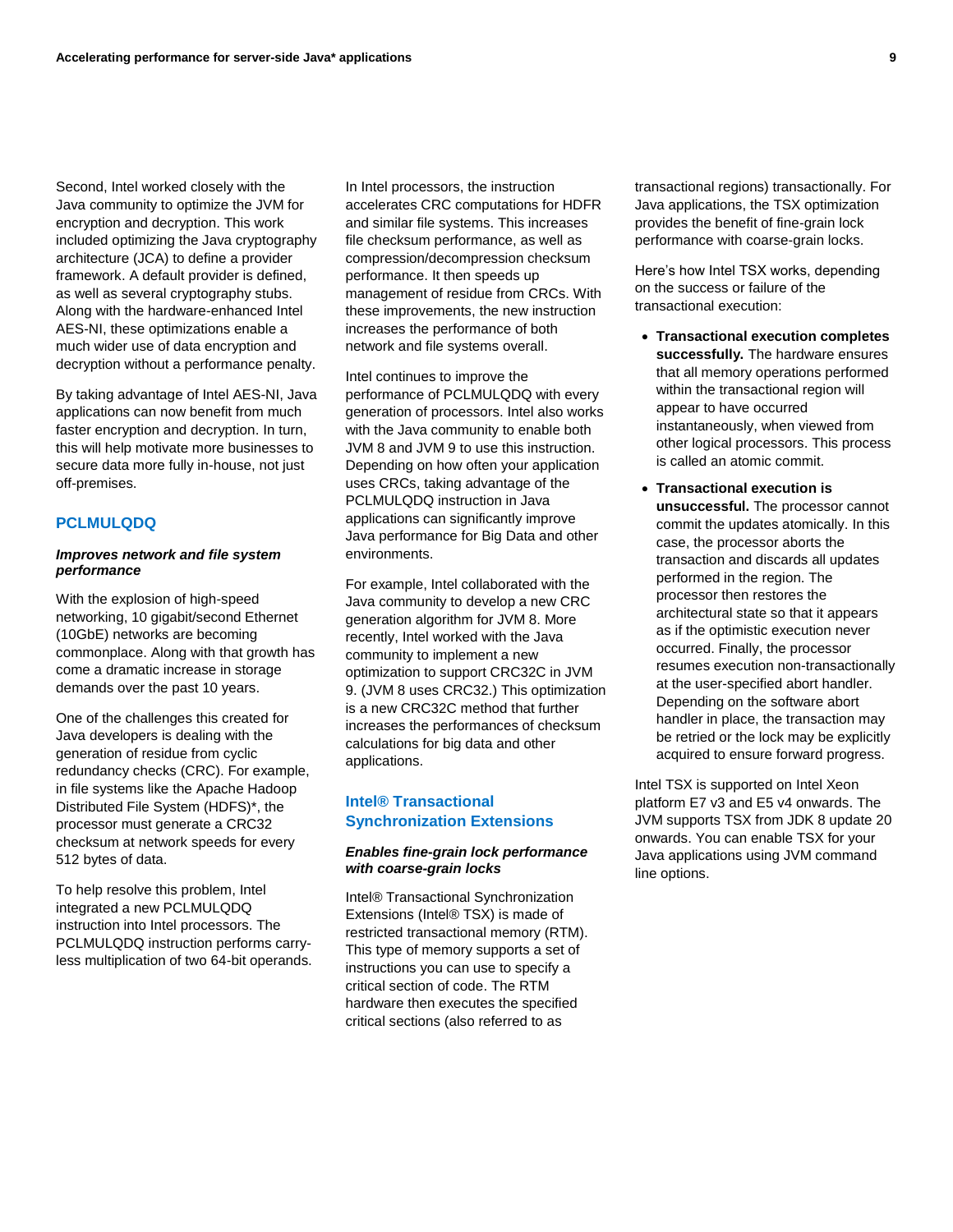Second, Intel worked closely with the Java community to optimize the JVM for encryption and decryption. This work included optimizing the Java cryptography architecture (JCA) to define a provider framework. A default provider is defined, as well as several cryptography stubs. Along with the hardware-enhanced Intel AES-NI, these optimizations enable a much wider use of data encryption and decryption without a performance penalty.

By taking advantage of Intel AES-NI, Java applications can now benefit from much faster encryption and decryption. In turn, this will help motivate more businesses to secure data more fully in-house, not just off-premises.

## **PCLMULQDQ**

#### *Improves network and file system performance*

With the explosion of high-speed networking, 10 gigabit/second Ethernet (10GbE) networks are becoming commonplace. Along with that growth has come a dramatic increase in storage demands over the past 10 years.

One of the challenges this created for Java developers is dealing with the generation of residue from cyclic redundancy checks (CRC). For example, in file systems like the Apache Hadoop Distributed File System (HDFS)\*, the processor must generate a CRC32 checksum at network speeds for every 512 bytes of data.

To help resolve this problem, Intel integrated a new PCLMULQDQ instruction into Intel processors. The PCLMULQDQ instruction performs carryless multiplication of two 64-bit operands. In Intel processors, the instruction accelerates CRC computations for HDFR and similar file systems. This increases file checksum performance, as well as compression/decompression checksum performance. It then speeds up management of residue from CRCs. With these improvements, the new instruction increases the performance of both network and file systems overall.

Intel continues to improve the performance of PCLMULQDQ with every generation of processors. Intel also works with the Java community to enable both JVM 8 and JVM 9 to use this instruction. Depending on how often your application uses CRCs, taking advantage of the PCLMULQDQ instruction in Java applications can significantly improve Java performance for Big Data and other environments.

For example, Intel collaborated with the Java community to develop a new CRC generation algorithm for JVM 8. More recently, Intel worked with the Java community to implement a new optimization to support CRC32C in JVM 9. (JVM 8 uses CRC32.) This optimization is a new CRC32C method that further increases the performances of checksum calculations for big data and other applications.

## **Intel® Transactional Synchronization Extensions**

#### *Enables fine-grain lock performance with coarse-grain locks*

Intel® Transactional Synchronization Extensions (Intel® TSX) is made of restricted transactional memory (RTM). This type of memory supports a set of instructions you can use to specify a critical section of code. The RTM hardware then executes the specified critical sections (also referred to as

transactional regions) transactionally. For Java applications, the TSX optimization provides the benefit of fine-grain lock performance with coarse-grain locks.

Here's how Intel TSX works, depending on the success or failure of the transactional execution:

- **Transactional execution completes successfully.** The hardware ensures that all memory operations performed within the transactional region will appear to have occurred instantaneously, when viewed from other logical processors. This process is called an atomic commit.
- **Transactional execution is unsuccessful.** The processor cannot commit the updates atomically. In this case, the processor aborts the transaction and discards all updates performed in the region. The processor then restores the architectural state so that it appears as if the optimistic execution never occurred. Finally, the processor resumes execution non-transactionally at the user-specified abort handler. Depending on the software abort handler in place, the transaction may be retried or the lock may be explicitly acquired to ensure forward progress.

Intel TSX is supported on Intel Xeon platform E7 v3 and E5 v4 onwards. The JVM supports TSX from JDK 8 update 20 onwards. You can enable TSX for your Java applications using JVM command line options.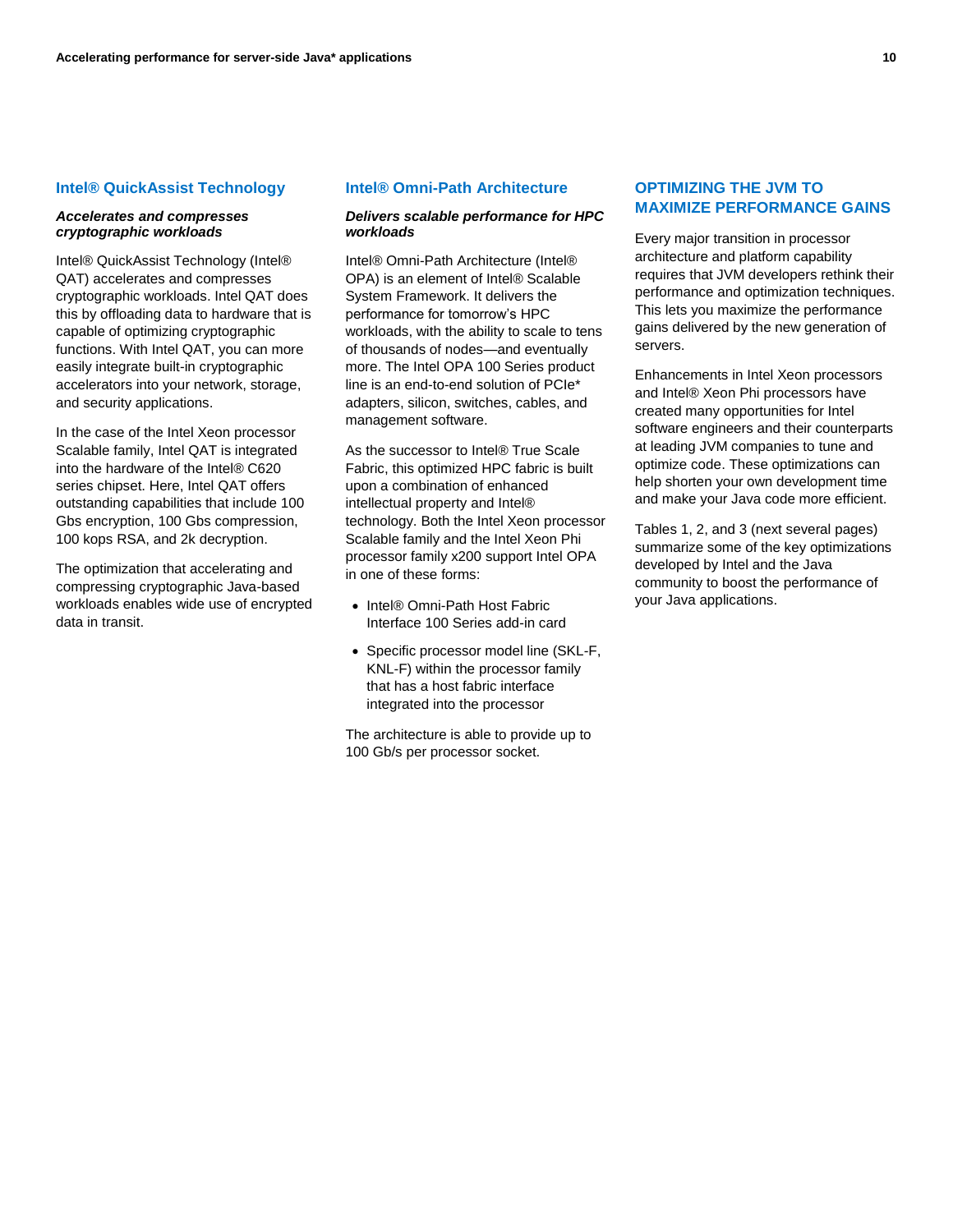#### **Intel® QuickAssist Technology**

#### *Accelerates and compresses cryptographic workloads*

Intel® QuickAssist Technology (Intel® QAT) accelerates and compresses cryptographic workloads. Intel QAT does this by offloading data to hardware that is capable of optimizing cryptographic functions. With Intel QAT, you can more easily integrate built-in cryptographic accelerators into your network, storage, and security applications.

In the case of the Intel Xeon processor Scalable family, Intel QAT is integrated into the hardware of the Intel® C620 series chipset. Here, Intel QAT offers outstanding capabilities that include 100 Gbs encryption, 100 Gbs compression, 100 kops RSA, and 2k decryption.

The optimization that accelerating and compressing cryptographic Java-based workloads enables wide use of encrypted data in transit.

#### **Intel® Omni-Path Architecture**

## *Delivers scalable performance for HPC workloads*

Intel® Omni-Path Architecture (Intel® OPA) is an element of Intel® Scalable System Framework. It delivers the performance for tomorrow's HPC workloads, with the ability to scale to tens of thousands of nodes—and eventually more. The Intel OPA 100 Series product line is an end-to-end solution of PCIe\* adapters, silicon, switches, cables, and management software.

As the successor to Intel® True Scale Fabric, this optimized HPC fabric is built upon a combination of enhanced intellectual property and Intel® technology. Both the Intel Xeon processor Scalable family and the Intel Xeon Phi processor family x200 support Intel OPA in one of these forms:

- Intel® Omni-Path Host Fabric Interface 100 Series add-in card
- Specific processor model line (SKL-F, KNL-F) within the processor family that has a host fabric interface integrated into the processor

The architecture is able to provide up to 100 Gb/s per processor socket.

## **OPTIMIZING THE JVM TO MAXIMIZE PERFORMANCE GAINS**

Every major transition in processor architecture and platform capability requires that JVM developers rethink their performance and optimization techniques. This lets you maximize the performance gains delivered by the new generation of servers.

Enhancements in Intel Xeon processors and Intel® Xeon Phi processors have created many opportunities for Intel software engineers and their counterparts at leading JVM companies to tune and optimize code. These optimizations can help shorten your own development time and make your Java code more efficient.

Tables 1, 2, and 3 (next several pages) summarize some of the key optimizations developed by Intel and the Java community to boost the performance of your Java applications.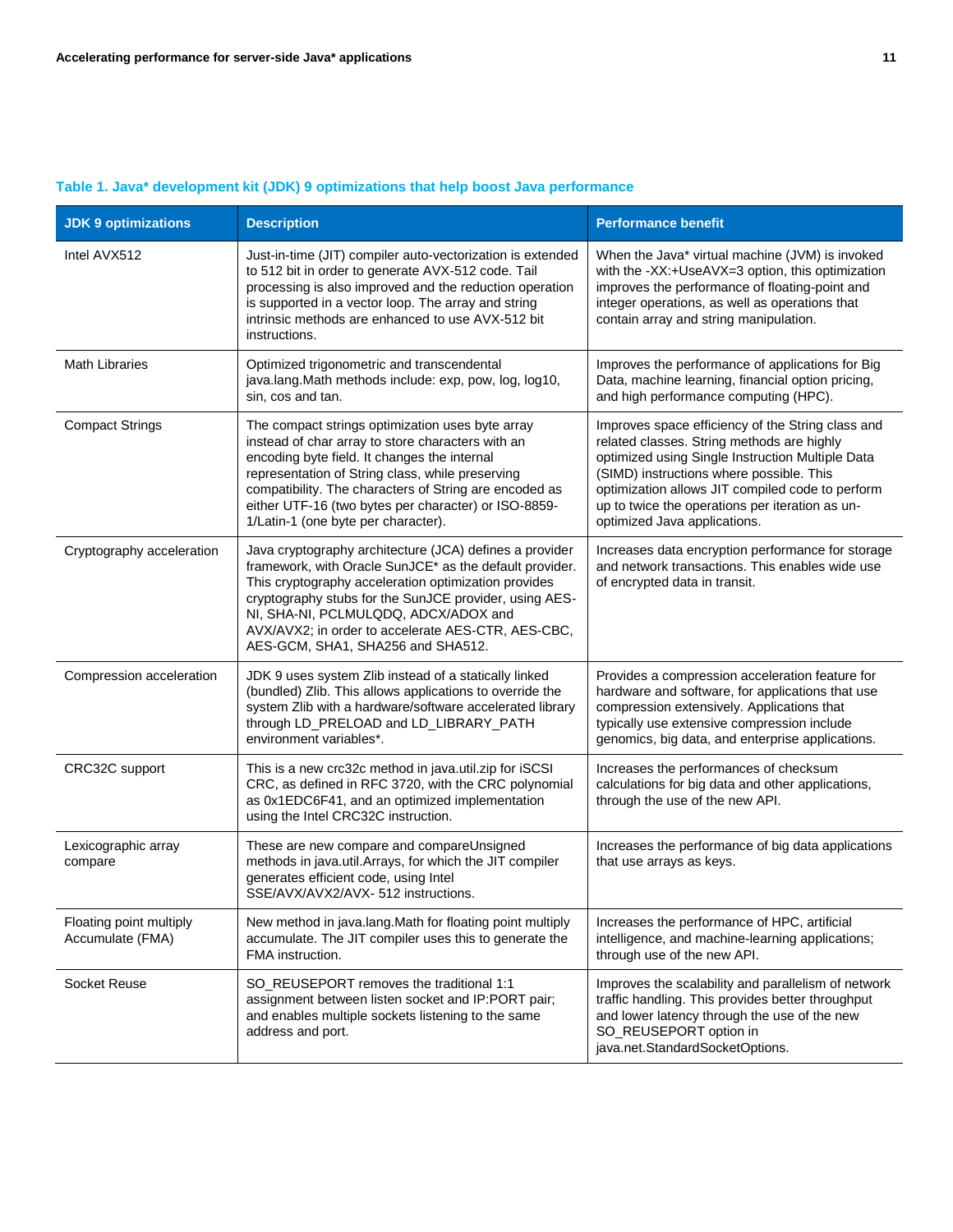| <b>JDK 9 optimizations</b>                  | <b>Description</b>                                                                                                                                                                                                                                                                                                                                                      | <b>Performance benefit</b>                                                                                                                                                                                                                                                                                                             |
|---------------------------------------------|-------------------------------------------------------------------------------------------------------------------------------------------------------------------------------------------------------------------------------------------------------------------------------------------------------------------------------------------------------------------------|----------------------------------------------------------------------------------------------------------------------------------------------------------------------------------------------------------------------------------------------------------------------------------------------------------------------------------------|
| Intel AVX512                                | Just-in-time (JIT) compiler auto-vectorization is extended<br>to 512 bit in order to generate AVX-512 code. Tail<br>processing is also improved and the reduction operation<br>is supported in a vector loop. The array and string<br>intrinsic methods are enhanced to use AVX-512 bit<br>instructions.                                                                | When the Java* virtual machine (JVM) is invoked<br>with the -XX:+UseAVX=3 option, this optimization<br>improves the performance of floating-point and<br>integer operations, as well as operations that<br>contain array and string manipulation.                                                                                      |
| <b>Math Libraries</b>                       | Optimized trigonometric and transcendental<br>java.lang.Math methods include: exp, pow, log, log10,<br>sin, cos and tan.                                                                                                                                                                                                                                                | Improves the performance of applications for Big<br>Data, machine learning, financial option pricing,<br>and high performance computing (HPC).                                                                                                                                                                                         |
| <b>Compact Strings</b>                      | The compact strings optimization uses byte array<br>instead of char array to store characters with an<br>encoding byte field. It changes the internal<br>representation of String class, while preserving<br>compatibility. The characters of String are encoded as<br>either UTF-16 (two bytes per character) or ISO-8859-<br>1/Latin-1 (one byte per character).      | Improves space efficiency of the String class and<br>related classes. String methods are highly<br>optimized using Single Instruction Multiple Data<br>(SIMD) instructions where possible. This<br>optimization allows JIT compiled code to perform<br>up to twice the operations per iteration as un-<br>optimized Java applications. |
| Cryptography acceleration                   | Java cryptography architecture (JCA) defines a provider<br>framework, with Oracle SunJCE* as the default provider.<br>This cryptography acceleration optimization provides<br>cryptography stubs for the SunJCE provider, using AES-<br>NI, SHA-NI, PCLMULQDQ, ADCX/ADOX and<br>AVX/AVX2; in order to accelerate AES-CTR, AES-CBC,<br>AES-GCM, SHA1, SHA256 and SHA512. | Increases data encryption performance for storage<br>and network transactions. This enables wide use<br>of encrypted data in transit.                                                                                                                                                                                                  |
| Compression acceleration                    | JDK 9 uses system Zlib instead of a statically linked<br>(bundled) Zlib. This allows applications to override the<br>system Zlib with a hardware/software accelerated library<br>through LD_PRELOAD and LD_LIBRARY_PATH<br>environment variables*.                                                                                                                      | Provides a compression acceleration feature for<br>hardware and software, for applications that use<br>compression extensively. Applications that<br>typically use extensive compression include<br>genomics, big data, and enterprise applications.                                                                                   |
| CRC32C support                              | This is a new crc32c method in java.util.zip for iSCSI<br>CRC, as defined in RFC 3720, with the CRC polynomial<br>as 0x1EDC6F41, and an optimized implementation<br>using the Intel CRC32C instruction.                                                                                                                                                                 | Increases the performances of checksum<br>calculations for big data and other applications,<br>through the use of the new API.                                                                                                                                                                                                         |
| Lexicographic array<br>compare              | These are new compare and compareUnsigned<br>methods in java.util.Arrays, for which the JIT compiler<br>generates efficient code, using Intel<br>SSE/AVX/AVX2/AVX- 512 instructions.                                                                                                                                                                                    | Increases the performance of big data applications<br>that use arrays as keys.                                                                                                                                                                                                                                                         |
| Floating point multiply<br>Accumulate (FMA) | New method in java.lang. Math for floating point multiply<br>accumulate. The JIT compiler uses this to generate the<br>FMA instruction.                                                                                                                                                                                                                                 | Increases the performance of HPC, artificial<br>intelligence, and machine-learning applications;<br>through use of the new API.                                                                                                                                                                                                        |
| Socket Reuse                                | SO_REUSEPORT removes the traditional 1:1<br>assignment between listen socket and IP:PORT pair;<br>and enables multiple sockets listening to the same<br>address and port.                                                                                                                                                                                               | Improves the scalability and parallelism of network<br>traffic handling. This provides better throughput<br>and lower latency through the use of the new<br>SO_REUSEPORT option in<br>java.net.StandardSocketOptions.                                                                                                                  |

# **Table 1. Java\* development kit (JDK) 9 optimizations that help boost Java performance**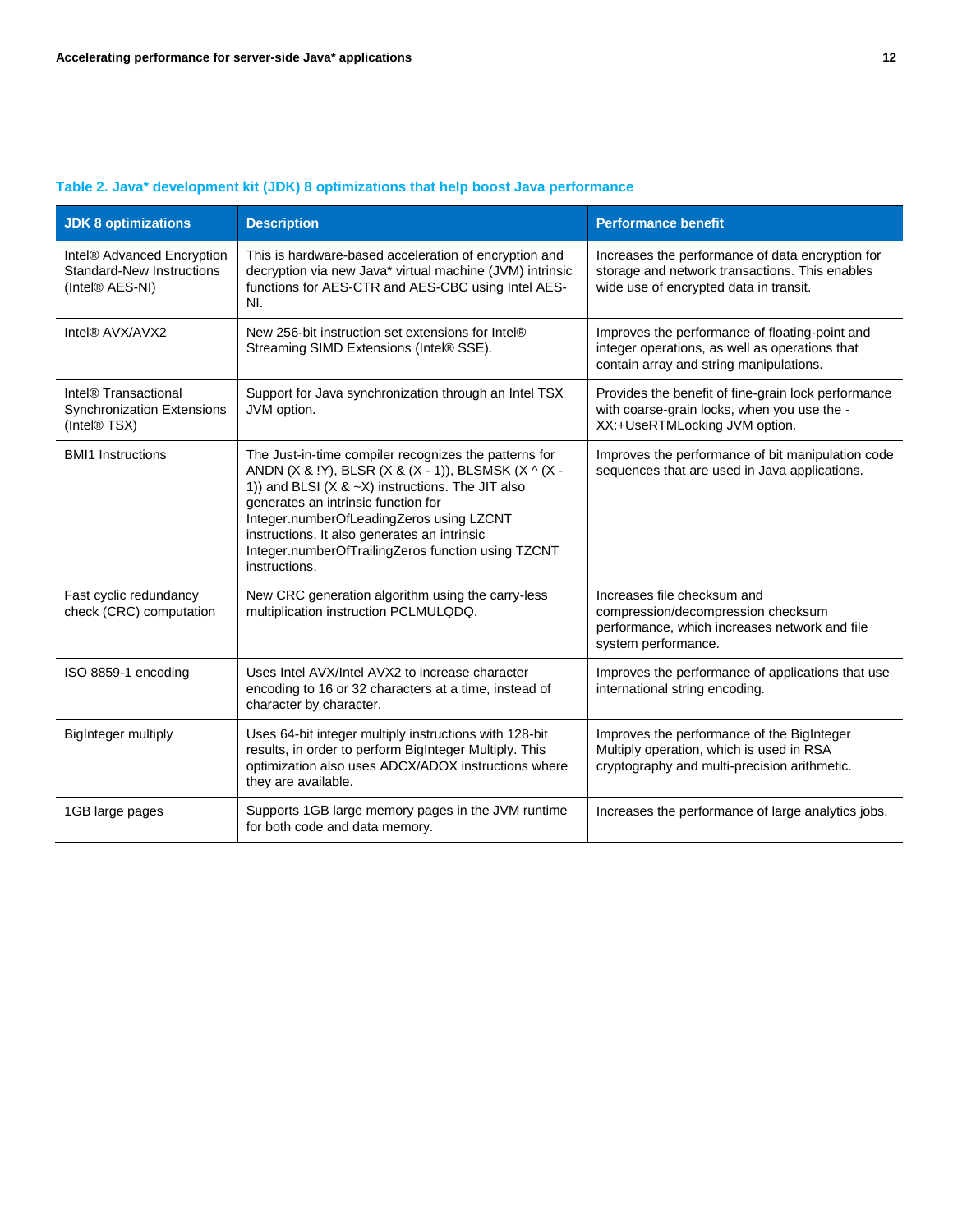| <b>JDK 8 optimizations</b>                                                            | <b>Description</b>                                                                                                                                                                                                                                                                                                                                                                  | <b>Performance benefit</b>                                                                                                                   |
|---------------------------------------------------------------------------------------|-------------------------------------------------------------------------------------------------------------------------------------------------------------------------------------------------------------------------------------------------------------------------------------------------------------------------------------------------------------------------------------|----------------------------------------------------------------------------------------------------------------------------------------------|
| Intel® Advanced Encryption<br><b>Standard-New Instructions</b><br>(Intel® AES-NI)     | This is hardware-based acceleration of encryption and<br>decryption via new Java* virtual machine (JVM) intrinsic<br>functions for AES-CTR and AES-CBC using Intel AES-<br>NI.                                                                                                                                                                                                      | Increases the performance of data encryption for<br>storage and network transactions. This enables<br>wide use of encrypted data in transit. |
| Intel® AVX/AVX2                                                                       | New 256-bit instruction set extensions for Intel®<br>Streaming SIMD Extensions (Intel® SSE).                                                                                                                                                                                                                                                                                        | Improves the performance of floating-point and<br>integer operations, as well as operations that<br>contain array and string manipulations.  |
| Intel® Transactional<br><b>Synchronization Extensions</b><br>(Intel <sup>®</sup> TSX) | Support for Java synchronization through an Intel TSX<br>JVM option.                                                                                                                                                                                                                                                                                                                | Provides the benefit of fine-grain lock performance<br>with coarse-grain locks, when you use the -<br>XX:+UseRTMLocking JVM option.          |
| <b>BMI1</b> Instructions                                                              | The Just-in-time compiler recognizes the patterns for<br>ANDN (X & !Y), BLSR (X & (X - 1)), BLSMSK (X ^ (X -<br>1)) and BLSI ( $X$ & $\sim$ X) instructions. The JIT also<br>generates an intrinsic function for<br>Integer.numberOfLeadingZeros using LZCNT<br>instructions. It also generates an intrinsic<br>Integer.numberOfTrailingZeros function using TZCNT<br>instructions. | Improves the performance of bit manipulation code<br>sequences that are used in Java applications.                                           |
| Fast cyclic redundancy<br>check (CRC) computation                                     | New CRC generation algorithm using the carry-less<br>multiplication instruction PCLMULQDQ.                                                                                                                                                                                                                                                                                          | Increases file checksum and<br>compression/decompression checksum<br>performance, which increases network and file<br>system performance.    |
| ISO 8859-1 encoding                                                                   | Uses Intel AVX/Intel AVX2 to increase character<br>encoding to 16 or 32 characters at a time, instead of<br>character by character.                                                                                                                                                                                                                                                 | Improves the performance of applications that use<br>international string encoding.                                                          |
| <b>BigInteger multiply</b>                                                            | Uses 64-bit integer multiply instructions with 128-bit<br>results, in order to perform BigInteger Multiply. This<br>optimization also uses ADCX/ADOX instructions where<br>they are available.                                                                                                                                                                                      | Improves the performance of the BigInteger<br>Multiply operation, which is used in RSA<br>cryptography and multi-precision arithmetic.       |
| 1GB large pages                                                                       | Supports 1GB large memory pages in the JVM runtime<br>for both code and data memory.                                                                                                                                                                                                                                                                                                | Increases the performance of large analytics jobs.                                                                                           |

## **Table 2. Java\* development kit (JDK) 8 optimizations that help boost Java performance**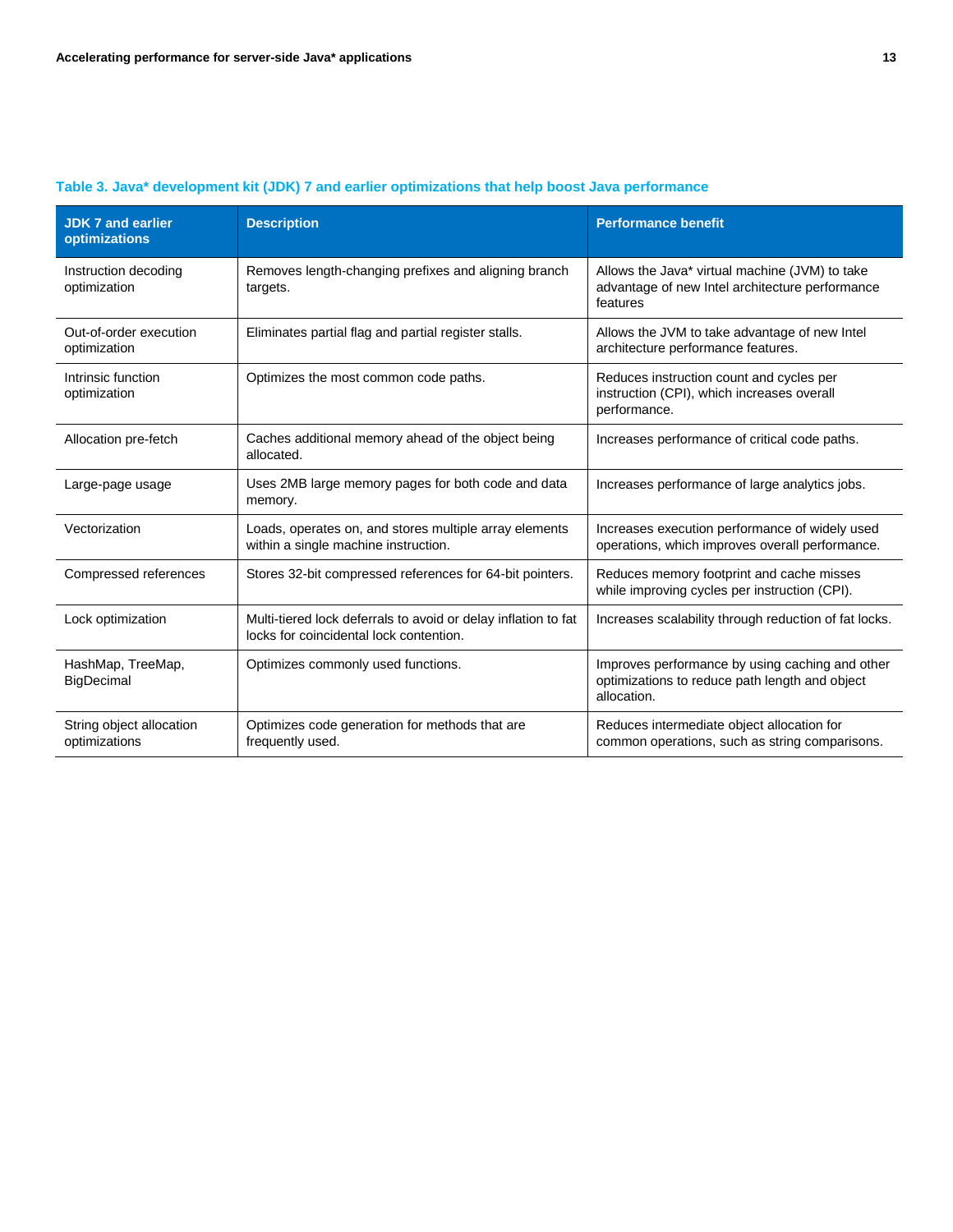| <b>JDK 7 and earlier</b><br>optimizations | <b>Description</b>                                                                                        | <b>Performance benefit</b>                                                                                       |
|-------------------------------------------|-----------------------------------------------------------------------------------------------------------|------------------------------------------------------------------------------------------------------------------|
| Instruction decoding<br>optimization      | Removes length-changing prefixes and aligning branch<br>targets.                                          | Allows the Java* virtual machine (JVM) to take<br>advantage of new Intel architecture performance<br>features    |
| Out-of-order execution<br>optimization    | Eliminates partial flag and partial register stalls.                                                      | Allows the JVM to take advantage of new Intel<br>architecture performance features.                              |
| Intrinsic function<br>optimization        | Optimizes the most common code paths.                                                                     | Reduces instruction count and cycles per<br>instruction (CPI), which increases overall<br>performance.           |
| Allocation pre-fetch                      | Caches additional memory ahead of the object being<br>allocated.                                          | Increases performance of critical code paths.                                                                    |
| Large-page usage                          | Uses 2MB large memory pages for both code and data<br>memory.                                             | Increases performance of large analytics jobs.                                                                   |
| Vectorization                             | Loads, operates on, and stores multiple array elements<br>within a single machine instruction.            | Increases execution performance of widely used<br>operations, which improves overall performance.                |
| Compressed references                     | Stores 32-bit compressed references for 64-bit pointers.                                                  | Reduces memory footprint and cache misses<br>while improving cycles per instruction (CPI).                       |
| Lock optimization                         | Multi-tiered lock deferrals to avoid or delay inflation to fat<br>locks for coincidental lock contention. | Increases scalability through reduction of fat locks.                                                            |
| HashMap, TreeMap,<br><b>BigDecimal</b>    | Optimizes commonly used functions.                                                                        | Improves performance by using caching and other<br>optimizations to reduce path length and object<br>allocation. |
| String object allocation<br>optimizations | Optimizes code generation for methods that are<br>frequently used.                                        | Reduces intermediate object allocation for<br>common operations, such as string comparisons.                     |

## **Table 3. Java\* development kit (JDK) 7 and earlier optimizations that help boost Java performance**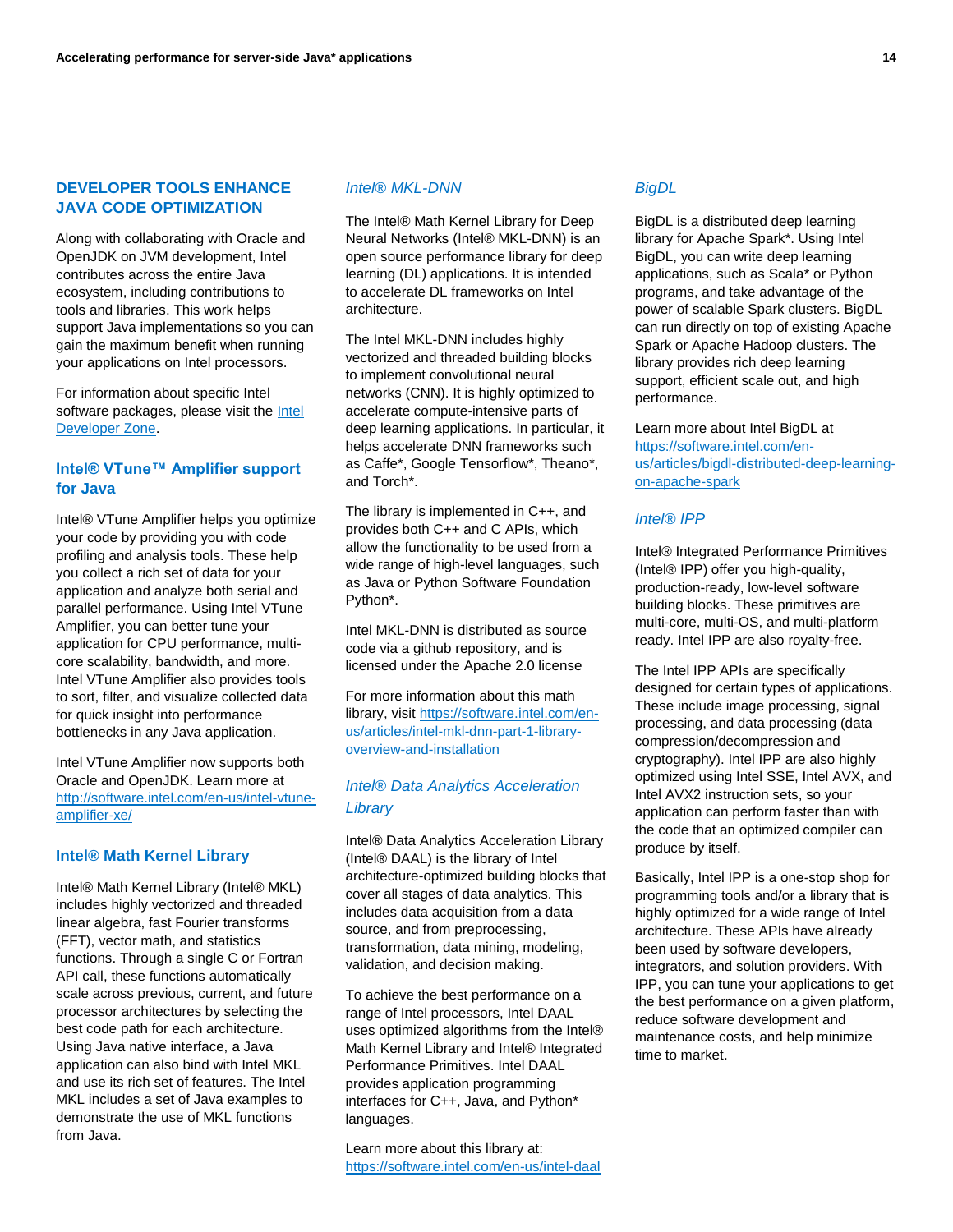## **DEVELOPER TOOLS ENHANCE JAVA CODE OPTIMIZATION**

Along with collaborating with Oracle and OpenJDK on JVM development, Intel contributes across the entire Java ecosystem, including contributions to tools and libraries. This work helps support Java implementations so you can gain the maximum benefit when running your applications on Intel processors.

For information about specific Intel software packages, please visit the Intel [Developer Zone.](http://software.intel.com/en-us)

## **Intel® VTune™ Amplifier support for Java**

Intel® VTune Amplifier helps you optimize your code by providing you with code profiling and analysis tools. These help you collect a rich set of data for your application and analyze both serial and parallel performance. Using Intel VTune Amplifier, you can better tune your application for CPU performance, multicore scalability, bandwidth, and more. Intel VTune Amplifier also provides tools to sort, filter, and visualize collected data for quick insight into performance bottlenecks in any Java application.

Intel VTune Amplifier now supports both Oracle and OpenJDK. Learn more at [http://software.intel.com/en-us/intel-vtune](http://software.intel.com/en-us/intel-vtune-amplifier-xe/)[amplifier-xe/](http://software.intel.com/en-us/intel-vtune-amplifier-xe/)

## **Intel® Math Kernel Library**

Intel® Math Kernel Library (Intel® MKL) includes highly vectorized and threaded linear algebra, fast Fourier transforms (FFT), vector math, and statistics functions. Through a single C or Fortran API call, these functions automatically scale across previous, current, and future processor architectures by selecting the best code path for each architecture. Using Java native interface, a Java application can also bind with Intel MKL and use its rich set of features. The Intel MKL includes a set of Java examples to demonstrate the use of MKL functions from Java.

## *Intel® MKL-DNN*

The Intel® Math Kernel Library for Deep Neural Networks (Intel® MKL-DNN) is an open source performance library for deep learning (DL) applications. It is intended to accelerate DL frameworks on Intel architecture.

The Intel MKL-DNN includes highly vectorized and threaded building blocks to implement convolutional neural networks (CNN). It is highly optimized to accelerate compute-intensive parts of deep learning applications. In particular, it helps accelerate DNN frameworks such as Caffe\*, Google Tensorflow\*, Theano\*, and Torch\*.

The library is implemented in C++, and provides both C++ and C APIs, which allow the functionality to be used from a wide range of high-level languages, such as Java or Python Software Foundation Python\*.

Intel MKL-DNN is distributed as source code via a github repository, and is licensed under the Apache 2.0 license

For more information about this math library, visi[t https://software.intel.com/en](https://software.intel.com/en-us/articles/intel-mkl-dnn-part-1-library-overview-and-installation)[us/articles/intel-mkl-dnn-part-1-library](https://software.intel.com/en-us/articles/intel-mkl-dnn-part-1-library-overview-and-installation)[overview-and-installation](https://software.intel.com/en-us/articles/intel-mkl-dnn-part-1-library-overview-and-installation)

## *Intel® Data Analytics Acceleration Library*

Intel® Data Analytics Acceleration Library (Intel® DAAL) is the library of Intel architecture-optimized building blocks that cover all stages of data analytics. This includes data acquisition from a data source, and from preprocessing, transformation, data mining, modeling, validation, and decision making.

To achieve the best performance on a range of Intel processors, Intel DAAL uses optimized algorithms from the Intel® Math Kernel Library and Intel® Integrated Performance Primitives. Intel DAAL provides application programming interfaces for C++, Java, and Python\* languages.

Learn more about this library at: <https://software.intel.com/en-us/intel-daal>

## *BigDL*

BigDL is a distributed deep learning library for Apache Spark\*. Using Intel BigDL, you can write deep learning applications, such as Scala\* or Python programs, and take advantage of the power of scalable Spark clusters. BigDL can run directly on top of existing Apache Spark or Apache Hadoop clusters. The library provides rich deep learning support, efficient scale out, and high performance.

Learn more about Intel BigDL at [https://software.intel.com/en](https://software.intel.com/en-us/articles/bigdl-distributed-deep-learning-on-apache-spark)[us/articles/bigdl-distributed-deep-learning](https://software.intel.com/en-us/articles/bigdl-distributed-deep-learning-on-apache-spark)[on-apache-spark](https://software.intel.com/en-us/articles/bigdl-distributed-deep-learning-on-apache-spark)

## *Intel® IPP*

Intel® Integrated Performance Primitives (Intel® IPP) offer you high-quality, production-ready, low-level software building blocks. These primitives are multi-core, multi-OS, and multi-platform ready. Intel IPP are also royalty-free.

The Intel IPP APIs are specifically designed for certain types of applications. These include image processing, signal processing, and data processing (data compression/decompression and cryptography). Intel IPP are also highly optimized using Intel SSE, Intel AVX, and Intel AVX2 instruction sets, so your application can perform faster than with the code that an optimized compiler can produce by itself.

Basically, Intel IPP is a one-stop shop for programming tools and/or a library that is highly optimized for a wide range of Intel architecture. These APIs have already been used by software developers, integrators, and solution providers. With IPP, you can tune your applications to get the best performance on a given platform, reduce software development and maintenance costs, and help minimize time to market.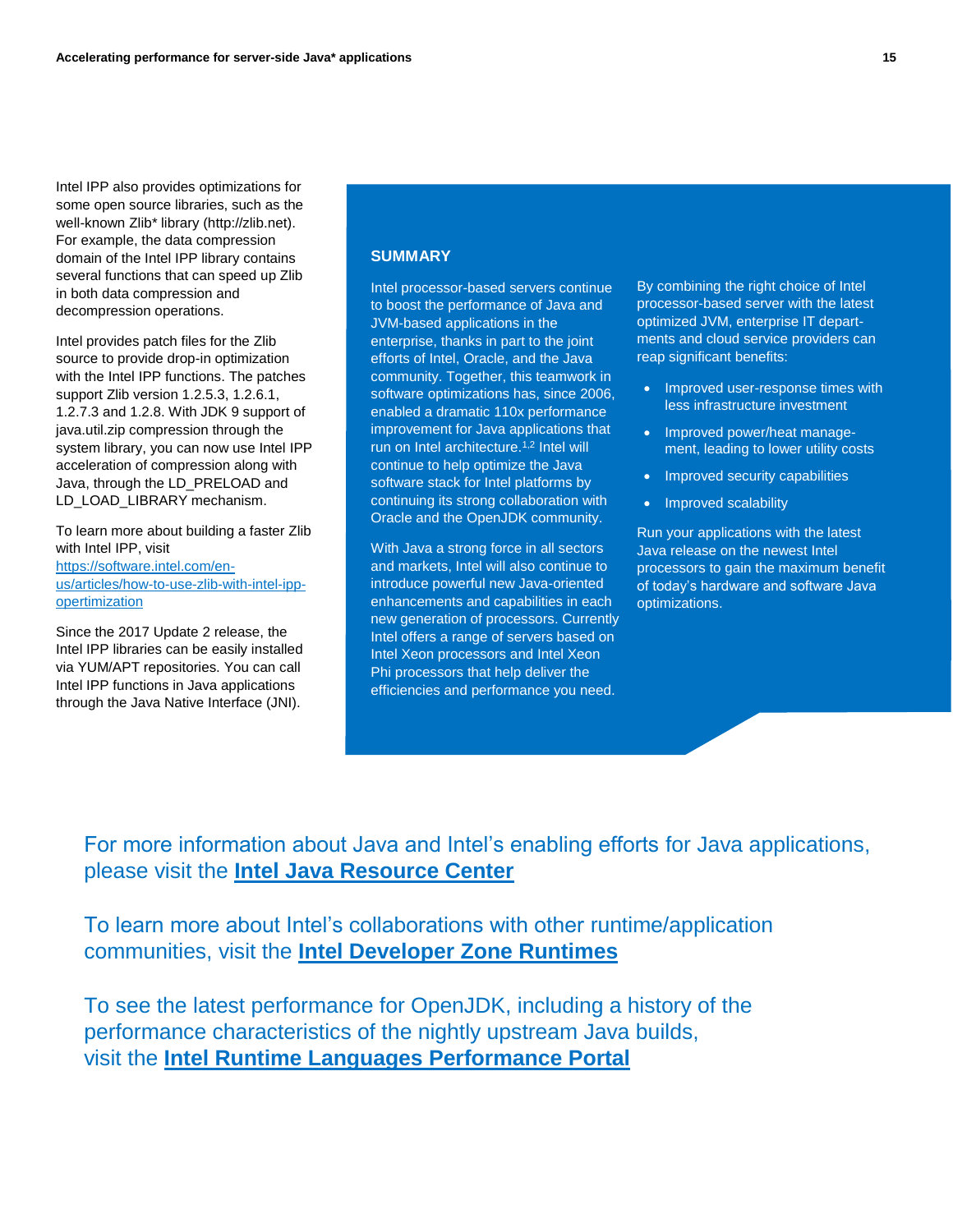Intel IPP also provides optimizations for some open source libraries, such as the well-known Zlib\* library (http://zlib.net). For example, the data compression domain of the Intel IPP library contains several functions that can speed up Zlib in both data compression and decompression operations.

Intel provides patch files for the Zlib source to provide drop-in optimization with the Intel IPP functions. The patches support Zlib version 1.2.5.3, 1.2.6.1, 1.2.7.3 and 1.2.8. With JDK 9 support of java.util.zip compression through the system library, you can now use Intel IPP acceleration of compression along with Java, through the LD\_PRELOAD and LD\_LOAD\_LIBRARY mechanism.

To learn more about building a faster Zlib with Intel IPP, visit [https://software.intel.com/en](https://software.intel.com/en-us/articles/how-to-use-zlib-with-intel-ipp-opertimization)[us/articles/how-to-use-zlib-with-intel-ipp](https://software.intel.com/en-us/articles/how-to-use-zlib-with-intel-ipp-opertimization)[opertimization](https://software.intel.com/en-us/articles/how-to-use-zlib-with-intel-ipp-opertimization)

Since the 2017 Update 2 release, the Intel IPP libraries can be easily installed via YUM/APT repositories. You can call Intel IPP functions in Java applications through the Java Native Interface (JNI).

## **SUMMARY**

Intel processor-based servers continue to boost the performance of Java and JVM-based applications in the enterprise, thanks in part to the joint efforts of Intel, Oracle, and the Java community. Together, this teamwork in software optimizations has, since 2006, enabled a dramatic 110x performance improvement for Java applications that run on Intel architecture.1,2 Intel will continue to help optimize the Java software stack for Intel platforms by continuing its strong collaboration with Oracle and the OpenJDK community.

With Java a strong force in all sectors and markets, Intel will also continue to introduce powerful new Java-oriented enhancements and capabilities in each new generation of processors. Currently Intel offers a range of servers based on Intel Xeon processors and Intel Xeon Phi processors that help deliver the efficiencies and performance you need.

By combining the right choice of Intel processor-based server with the latest optimized JVM, enterprise IT departments and cloud service providers can reap significant benefits:

- Improved user-response times with less infrastructure investment
- Improved power/heat management, leading to lower utility costs
- Improved security capabilities
- Improved scalability

Run your applications with the latest Java release on the newest Intel processors to gain the maximum benefit of today's hardware and software Java optimizations.

For more information about Java and Intel's enabling efforts for Java applications, please visit the **[Intel Java Resource Center](https://software.intel.com/runtimes/Java)**

To learn more about Intel's collaborations with other runtime/application communities, visit the **[Intel Developer Zone Runtimes](https://software.intel.com/runtimes)**

To see the latest performance for OpenJDK, including a history of the performance characteristics of the nightly upstream Java builds, visit the **[Intel Runtime Languages Performance Portal](http://languagesperformance.intel.com/)**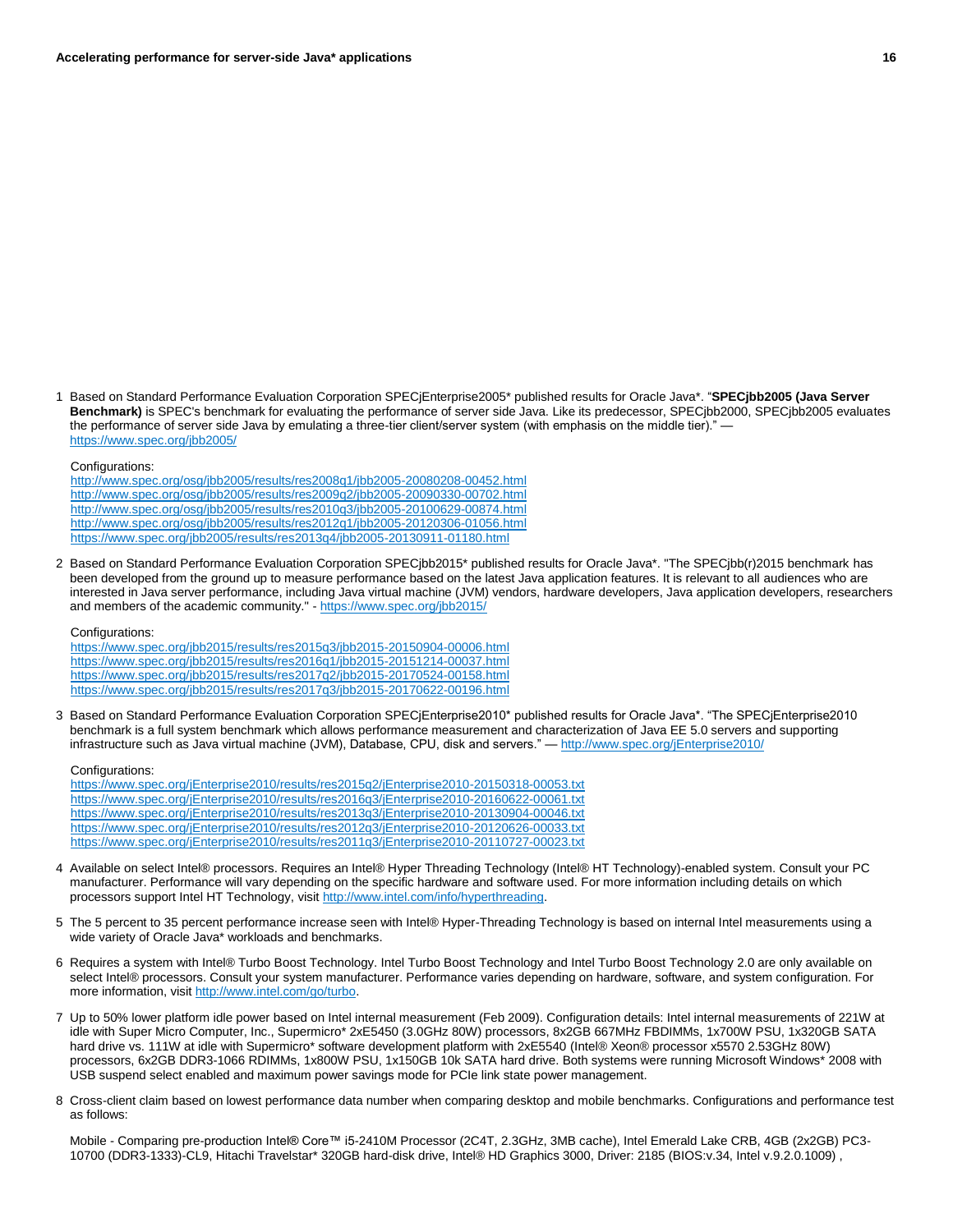1 Based on Standard Performance Evaluation Corporation SPECjEnterprise2005\* published results for Oracle Java\*. "**SPECjbb2005 (Java Server Benchmark)** is SPEC's benchmark for evaluating the performance of server side Java. Like its predecessor, SPECjbb2000, SPECjbb2005 evaluates the performance of server side Java by emulating a three-tier client/server system (with emphasis on the middle tier)." <https://www.spec.org/jbb2005/>

#### Configurations:

<http://www.spec.org/osg/jbb2005/results/res2008q1/jbb2005-20080208-00452.html> <http://www.spec.org/osg/jbb2005/results/res2009q2/jbb2005-20090330-00702.html> <http://www.spec.org/osg/jbb2005/results/res2010q3/jbb2005-20100629-00874.html> <http://www.spec.org/osg/jbb2005/results/res2012q1/jbb2005-20120306-01056.html> <https://www.spec.org/jbb2005/results/res2013q4/jbb2005-20130911-01180.html>

2 Based on Standard Performance Evaluation Corporation SPECjbb2015\* published results for Oracle Java\*. "The SPECjbb(r)2015 benchmark has been developed from the ground up to measure performance based on the latest Java application features. It is relevant to all audiences who are interested in Java server performance, including Java virtual machine (JVM) vendors, hardware developers, Java application developers, researchers and members of the academic community." - <https://www.spec.org/jbb2015/>

#### Configurations:

<https://www.spec.org/jbb2015/results/res2015q3/jbb2015-20150904-00006.html> <https://www.spec.org/jbb2015/results/res2016q1/jbb2015-20151214-00037.html> <https://www.spec.org/jbb2015/results/res2017q2/jbb2015-20170524-00158.html> <https://www.spec.org/jbb2015/results/res2017q3/jbb2015-20170622-00196.html>

3 Based on Standard Performance Evaluation Corporation SPECjEnterprise2010\* published results for Oracle Java\*. "The SPECjEnterprise2010 benchmark is a full system benchmark which allows performance measurement and characterization of Java EE 5.0 servers and supporting infrastructure such as Java virtual machine (JVM), Database, CPU, disk and servers." — <http://www.spec.org/jEnterprise2010/>

#### Configurations:

<https://www.spec.org/jEnterprise2010/results/res2015q2/jEnterprise2010-20150318-00053.txt> <https://www.spec.org/jEnterprise2010/results/res2016q3/jEnterprise2010-20160622-00061.txt> <https://www.spec.org/jEnterprise2010/results/res2013q3/jEnterprise2010-20130904-00046.txt> <https://www.spec.org/jEnterprise2010/results/res2012q3/jEnterprise2010-20120626-00033.txt> <https://www.spec.org/jEnterprise2010/results/res2011q3/jEnterprise2010-20110727-00023.txt>

- 4 Available on select Intel® processors. Requires an Intel® Hyper Threading Technology (Intel® HT Technology)-enabled system. Consult your PC manufacturer. Performance will vary depending on the specific hardware and software used. For more information including details on which processors support Intel HT Technology, visit [http://www.intel.com/info/hyperthreading.](http://www.intel.com/info/hyperthreading)
- 5 The 5 percent to 35 percent performance increase seen with Intel® Hyper-Threading Technology is based on internal Intel measurements using a wide variety of Oracle Java\* workloads and benchmarks.
- 6 Requires a system with Intel® Turbo Boost Technology. Intel Turbo Boost Technology and Intel Turbo Boost Technology 2.0 are only available on select Intel® processors. Consult your system manufacturer. Performance varies depending on hardware, software, and system configuration. For more information, visi[t http://www.intel.com/go/turbo.](http://www.intel.com/go/turbo)
- 7 Up to 50% lower platform idle power based on Intel internal measurement (Feb 2009). Configuration details: Intel internal measurements of 221W at idle with Super Micro Computer, Inc., Supermicro\* 2xE5450 (3.0GHz 80W) processors, 8x2GB 667MHz FBDIMMs, 1x700W PSU, 1x320GB SATA hard drive vs. 111W at idle with Supermicro\* software development platform with 2xE5540 (Intel® Xeon® processor x5570 2.53GHz 80W) processors, 6x2GB DDR3-1066 RDIMMs, 1x800W PSU, 1x150GB 10k SATA hard drive. Both systems were running Microsoft Windows\* 2008 with USB suspend select enabled and maximum power savings mode for PCIe link state power management.
- 8 Cross-client claim based on lowest performance data number when comparing desktop and mobile benchmarks. Configurations and performance test as follows:

Mobile - Comparing pre-production Intel® Core™ i5-2410M Processor (2C4T, 2.3GHz, 3MB cache), Intel Emerald Lake CRB, 4GB (2x2GB) PC3- 10700 (DDR3-1333)-CL9, Hitachi Travelstar\* 320GB hard-disk drive, Intel® HD Graphics 3000, Driver: 2185 (BIOS:v.34, Intel v.9.2.0.1009) ,